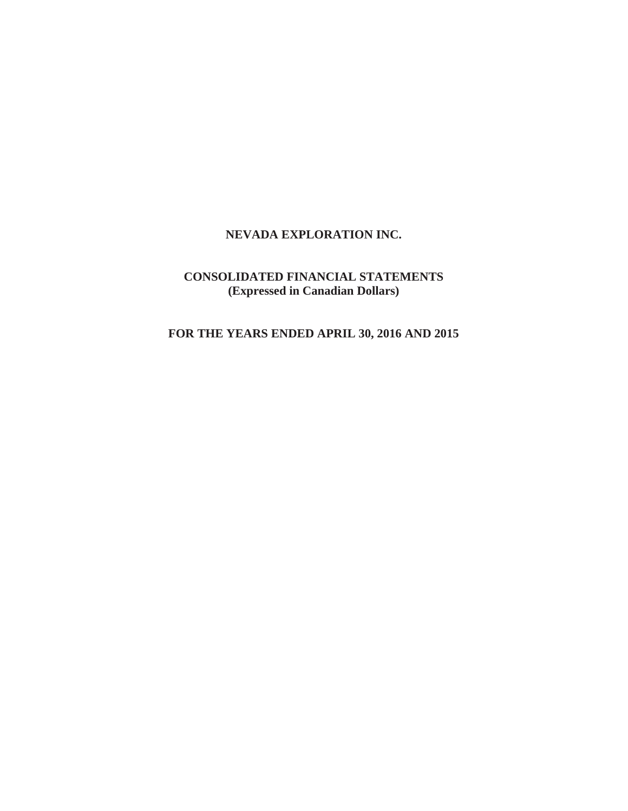# **NEVADA EXPLORATION INC.**

# **CONSOLIDATED FINANCIAL STATEMENTS (Expressed in Canadian Dollars)**

# **FOR THE YEARS ENDED APRIL 30, 2016 AND 2015**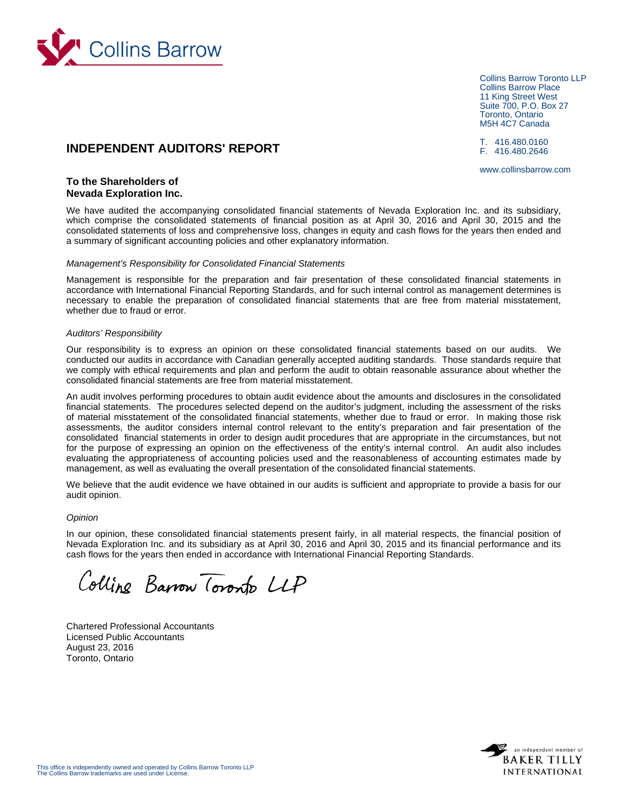

Collins Barrow Toronto LLP Collins Barrow Place 11 King Street West Suite 700, P.O. Box 27 Toronto, Ontario M5H 4C7 Canada

T. 416.480.0160 F. 416.480.2646

www.collinsbarrow.com

# **INDEPENDENT AUDITORS' REPORT**

## **To the Shareholders of Nevada Exploration Inc.**

We have audited the accompanying consolidated financial statements of Nevada Exploration Inc. and its subsidiary, which comprise the consolidated statements of financial position as at April 30, 2016 and April 30, 2015 and the consolidated statements of loss and comprehensive loss, changes in equity and cash flows for the years then ended and a summary of significant accounting policies and other explanatory information.

#### *Management's Responsibility for Consolidated Financial Statements*

Management is responsible for the preparation and fair presentation of these consolidated financial statements in accordance with International Financial Reporting Standards, and for such internal control as management determines is necessary to enable the preparation of consolidated financial statements that are free from material misstatement, whether due to fraud or error.

#### *Auditors' Responsibility*

Our responsibility is to express an opinion on these consolidated financial statements based on our audits. We conducted our audits in accordance with Canadian generally accepted auditing standards. Those standards require that we comply with ethical requirements and plan and perform the audit to obtain reasonable assurance about whether the consolidated financial statements are free from material misstatement.

An audit involves performing procedures to obtain audit evidence about the amounts and disclosures in the consolidated financial statements. The procedures selected depend on the auditor's judgment, including the assessment of the risks of material misstatement of the consolidated financial statements, whether due to fraud or error. In making those risk assessments, the auditor considers internal control relevant to the entity's preparation and fair presentation of the consolidated financial statements in order to design audit procedures that are appropriate in the circumstances, but not for the purpose of expressing an opinion on the effectiveness of the entity's internal control. An audit also includes evaluating the appropriateness of accounting policies used and the reasonableness of accounting estimates made by management, as well as evaluating the overall presentation of the consolidated financial statements.

We believe that the audit evidence we have obtained in our audits is sufficient and appropriate to provide a basis for our audit opinion.

#### *Opinion*

In our opinion, these consolidated financial statements present fairly, in all material respects, the financial position of Nevada Exploration Inc. and its subsidiary as at April 30, 2016 and April 30, 2015 and its financial performance and its cash flows for the years then ended in accordance with International Financial Reporting Standards.

Colline Barrow Toronto LLP

Chartered Professional Accountants Licensed Public Accountants August 23, 2016 Toronto, Ontario

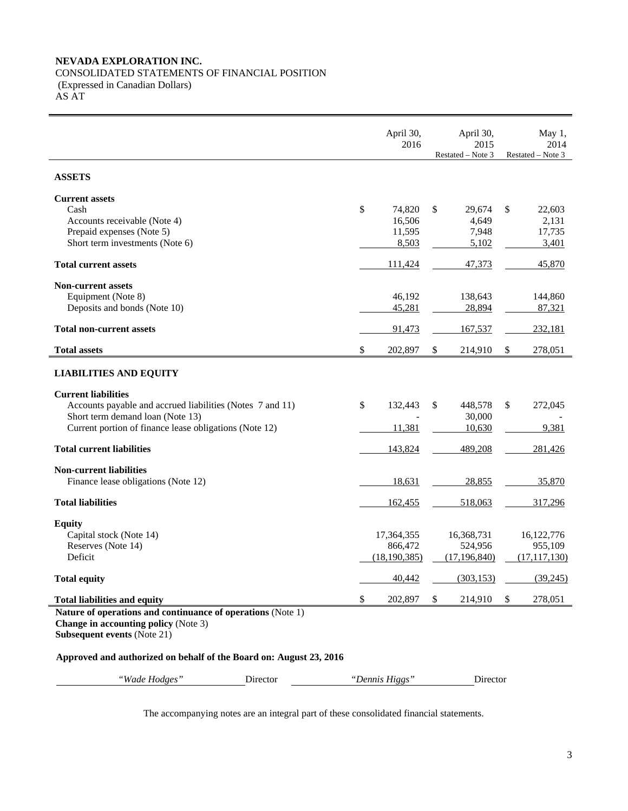## **NEVADA EXPLORATION INC.**

CONSOLIDATED STATEMENTS OF FINANCIAL POSITION (Expressed in Canadian Dollars) AS AT

|                                                                            |          | April 30,<br>2016         | April 30,<br>2015<br>Restated - Note 3 | May 1,<br>2014<br>Restated - Note 3 |
|----------------------------------------------------------------------------|----------|---------------------------|----------------------------------------|-------------------------------------|
| <b>ASSETS</b>                                                              |          |                           |                                        |                                     |
|                                                                            |          |                           |                                        |                                     |
| <b>Current assets</b><br>Cash                                              |          | \$<br>74,820              | \$<br>29,674                           | \$<br>22,603                        |
| Accounts receivable (Note 4)                                               |          | 16,506                    | 4,649                                  | 2,131                               |
| Prepaid expenses (Note 5)                                                  |          | 11,595                    | 7,948                                  | 17,735                              |
| Short term investments (Note 6)                                            |          | 8,503                     | 5,102                                  | 3,401                               |
| <b>Total current assets</b>                                                |          | 111,424                   | 47,373                                 | 45,870                              |
| <b>Non-current assets</b>                                                  |          |                           |                                        |                                     |
| Equipment (Note 8)                                                         |          | 46,192                    | 138,643                                | 144,860                             |
| Deposits and bonds (Note 10)                                               |          | 45,281                    | 28,894                                 | 87,321                              |
| <b>Total non-current assets</b>                                            |          | 91,473                    | 167,537                                | 232,181                             |
| <b>Total assets</b>                                                        |          | \$<br>202,897             | \$<br>214,910                          | \$<br>278,051                       |
| <b>LIABILITIES AND EQUITY</b>                                              |          |                           |                                        |                                     |
| <b>Current liabilities</b>                                                 |          |                           |                                        |                                     |
| Accounts payable and accrued liabilities (Notes 7 and 11)                  |          | \$<br>132,443             | \$<br>448,578                          | \$<br>272,045                       |
| Short term demand loan (Note 13)                                           |          |                           | 30,000                                 |                                     |
| Current portion of finance lease obligations (Note 12)                     |          | 11,381                    | 10,630                                 | 9,381                               |
| <b>Total current liabilities</b>                                           |          | 143,824                   | 489,208                                | 281,426                             |
| <b>Non-current liabilities</b>                                             |          |                           |                                        |                                     |
| Finance lease obligations (Note 12)                                        |          | 18,631                    | 28,855                                 | 35,870                              |
| <b>Total liabilities</b>                                                   |          | 162,455                   | 518,063                                | 317,296                             |
|                                                                            |          |                           |                                        |                                     |
| <b>Equity</b>                                                              |          |                           |                                        |                                     |
| Capital stock (Note 14)                                                    |          | 17,364,355                | 16,368,731                             | 16,122,776                          |
| Reserves (Note 14)<br>Deficit                                              |          | 866,472<br>(18, 190, 385) | 524,956<br>(17, 196, 840)              | 955,109<br>(17, 117, 130)           |
|                                                                            |          |                           |                                        |                                     |
| <b>Total equity</b>                                                        |          | 40,442                    | (303, 153)                             | (39, 245)                           |
| <b>Total liabilities and equity</b>                                        |          | \$<br>202,897             | \$<br>214,910                          | \$<br>278,051                       |
| Nature of operations and continuance of operations (Note 1)                |          |                           |                                        |                                     |
| <b>Change in accounting policy (Note 3)</b><br>Subsequent events (Note 21) |          |                           |                                        |                                     |
| Approved and authorized on behalf of the Board on: August 23, 2016         |          |                           |                                        |                                     |
| "Wade Hodges"                                                              | Director | "Dennis Higgs"            | Director                               |                                     |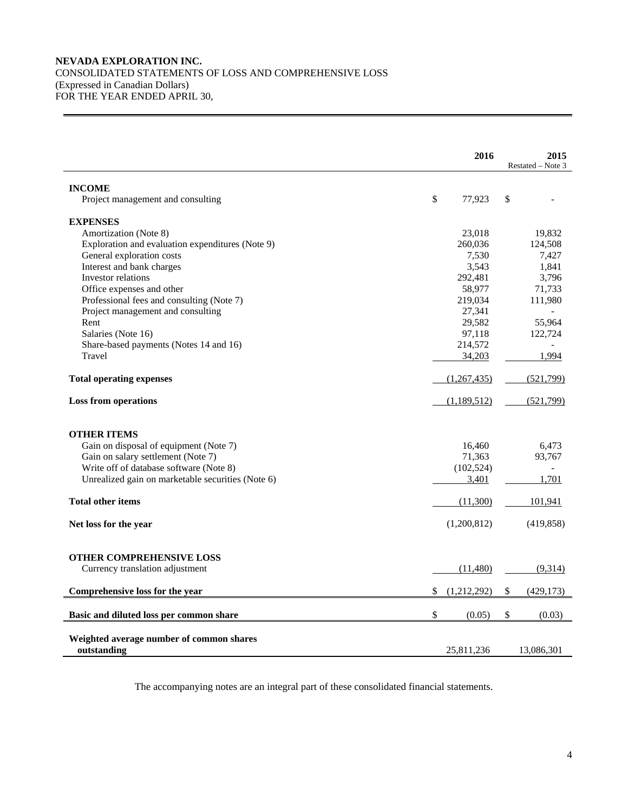## **NEVADA EXPLORATION INC.**  CONSOLIDATED STATEMENTS OF LOSS AND COMPREHENSIVE LOSS (Expressed in Canadian Dollars) FOR THE YEAR ENDED APRIL 30,

|                                                   | 2016              |    | 2015              |
|---------------------------------------------------|-------------------|----|-------------------|
|                                                   |                   |    | Restated – Note 3 |
| <b>INCOME</b>                                     |                   |    |                   |
| Project management and consulting                 | \$<br>77,923      | \$ |                   |
|                                                   |                   |    |                   |
| <b>EXPENSES</b>                                   |                   |    |                   |
| Amortization (Note 8)                             | 23,018            |    | 19,832            |
| Exploration and evaluation expenditures (Note 9)  | 260,036           |    | 124,508           |
| General exploration costs                         | 7,530             |    | 7,427             |
| Interest and bank charges                         | 3,543             |    | 1,841             |
| Investor relations                                | 292,481           |    | 3,796             |
| Office expenses and other                         | 58,977            |    | 71,733            |
| Professional fees and consulting (Note 7)         | 219,034           |    | 111,980           |
| Project management and consulting                 | 27,341            |    |                   |
| Rent                                              | 29,582            |    | 55,964            |
| Salaries (Note 16)                                | 97,118            |    | 122,724           |
| Share-based payments (Notes 14 and 16)            | 214,572           |    |                   |
| Travel                                            | 34,203            |    | 1,994             |
| <b>Total operating expenses</b>                   | (1,267,435)       |    | (521,799)         |
|                                                   |                   |    |                   |
| <b>Loss from operations</b>                       | (1,189,512)       |    | (521, 799)        |
|                                                   |                   |    |                   |
| <b>OTHER ITEMS</b>                                |                   |    |                   |
| Gain on disposal of equipment (Note 7)            | 16,460            |    | 6,473             |
| Gain on salary settlement (Note 7)                | 71,363            |    | 93,767            |
| Write off of database software (Note 8)           | (102, 524)        |    |                   |
| Unrealized gain on marketable securities (Note 6) | 3,401             |    | 1,701             |
| <b>Total other items</b>                          | (11,300)          |    | 101,941           |
|                                                   |                   |    |                   |
| Net loss for the year                             | (1,200,812)       |    | (419, 858)        |
|                                                   |                   |    |                   |
| <b>OTHER COMPREHENSIVE LOSS</b>                   |                   |    |                   |
| Currency translation adjustment                   | (11,480)          |    | (9,314)           |
|                                                   |                   |    |                   |
| Comprehensive loss for the year                   | \$<br>(1,212,292) | \$ | (429, 173)        |
| Basic and diluted loss per common share           | \$<br>(0.05)      | \$ | (0.03)            |
|                                                   |                   |    |                   |
| Weighted average number of common shares          |                   |    |                   |
| outstanding                                       | 25,811,236        |    | 13,086,301        |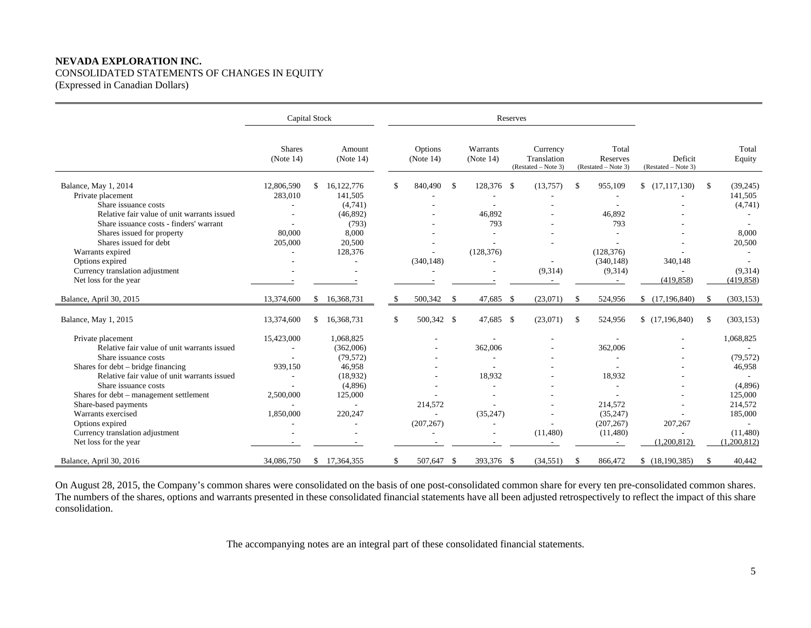## **NEVADA EXPLORATION INC.**  CONSOLIDATED STATEMENTS OF CHANGES IN EQUITY (Expressed in Canadian Dollars)

|                                                                                                                                                                                                                                                                                                                                                                               | Capital Stock                                                                                 |                                                                                            | Reserves |                       |      |                                                                    |  |                                                |                                                                      |                                |    |                                                                                                          |
|-------------------------------------------------------------------------------------------------------------------------------------------------------------------------------------------------------------------------------------------------------------------------------------------------------------------------------------------------------------------------------|-----------------------------------------------------------------------------------------------|--------------------------------------------------------------------------------------------|----------|-----------------------|------|--------------------------------------------------------------------|--|------------------------------------------------|----------------------------------------------------------------------|--------------------------------|----|----------------------------------------------------------------------------------------------------------|
|                                                                                                                                                                                                                                                                                                                                                                               | <b>Shares</b><br>(Note 14)                                                                    | Amount<br>(Note 14)                                                                        |          | Options<br>(Note 14)  |      | Warrants<br>(Note 14)                                              |  | Currency<br>Translation<br>(Restated - Note 3) | Total<br>Reserves<br>(Restated - Note 3)                             | Deficit<br>(Restated - Note 3) |    | Total<br>Equity                                                                                          |
| Balance, May 1, 2014<br>Private placement<br>Share issuance costs<br>Relative fair value of unit warrants issued<br>Share issuance costs - finders' warrant<br>Shares issued for property<br>Shares issued for debt<br>Warrants expired                                                                                                                                       | 12,806,590<br>283,010<br>80,000<br>205,000                                                    | \$<br>16,122,776<br>141,505<br>(4,741)<br>(46, 892)<br>(793)<br>8,000<br>20,500<br>128,376 | \$       | 840,490               | -S   | 128,376 \$<br>46,892<br>793<br>(128, 376)                          |  | (13,757)                                       | \$<br>955,109<br>46,892<br>793<br>(128.376)                          | (17,117,130)                   | \$ | (39, 245)<br>141,505<br>(4,741)<br>8,000<br>20,500                                                       |
| Options expired<br>Currency translation adjustment<br>Net loss for the year                                                                                                                                                                                                                                                                                                   |                                                                                               |                                                                                            |          | (340, 148)            |      |                                                                    |  | (9,314)                                        | (340, 148)<br>(9,314)                                                | 340,148<br>(419, 858)          |    | (9,314)<br>(419, 858)                                                                                    |
| Balance, April 30, 2015                                                                                                                                                                                                                                                                                                                                                       | 13,374,600                                                                                    | \$<br>16,368,731                                                                           | -S       | 500,342               | \$   | 47,685 \$                                                          |  | (23,071)                                       | \$<br>524,956                                                        | (17,196,840)                   | \$ | (303, 153)                                                                                               |
| Balance, May 1, 2015                                                                                                                                                                                                                                                                                                                                                          | 13,374,600                                                                                    | \$<br>16,368,731                                                                           | \$       | 500,342 \$            |      | 47,685 \$                                                          |  | (23,071)                                       | \$<br>524,956                                                        | (17, 196, 840)                 | \$ | (303, 153)                                                                                               |
| Private placement<br>Relative fair value of unit warrants issued<br>Share issuance costs<br>Shares for debt – bridge financing<br>Relative fair value of unit warrants issued<br>Share issuance costs<br>Shares for debt - management settlement<br>Share-based payments<br>Warrants exercised<br>Options expired<br>Currency translation adjustment<br>Net loss for the year | 15,423,000<br>$\overline{\phantom{a}}$<br>939,150<br>$\overline{a}$<br>2,500,000<br>1,850,000 | 1,068,825<br>(362,006)<br>(79, 572)<br>46,958<br>(18,932)<br>(4,896)<br>125,000<br>220,247 |          | 214,572<br>(207, 267) |      | 362,006<br>18,932<br>(35, 247)<br>$\overline{a}$<br>$\overline{a}$ |  | (11, 480)                                      | 362,006<br>18,932<br>214,572<br>(35, 247)<br>(207, 267)<br>(11, 480) | 207,267<br>(1,200,812)         |    | 1,068,825<br>(79, 572)<br>46,958<br>(4,896)<br>125,000<br>214,572<br>185,000<br>(11, 480)<br>(1,200,812) |
| Balance, April 30, 2016                                                                                                                                                                                                                                                                                                                                                       | 34,086,750                                                                                    | \$<br>17,364,355                                                                           | \$       | 507,647               | - \$ | 393,376 \$                                                         |  | (34, 551)                                      | \$<br>866,472                                                        | \$(18,190,385)                 | S. | 40,442                                                                                                   |

On August 28, 2015, the Company's common shares were consolidated on the basis of one post-consolidated common share for every ten pre-consolidated common shares. The numbers of the shares, options and warrants presented in these consolidated financial statements have all been adjusted retrospectively to reflect the impact of this share consolidation.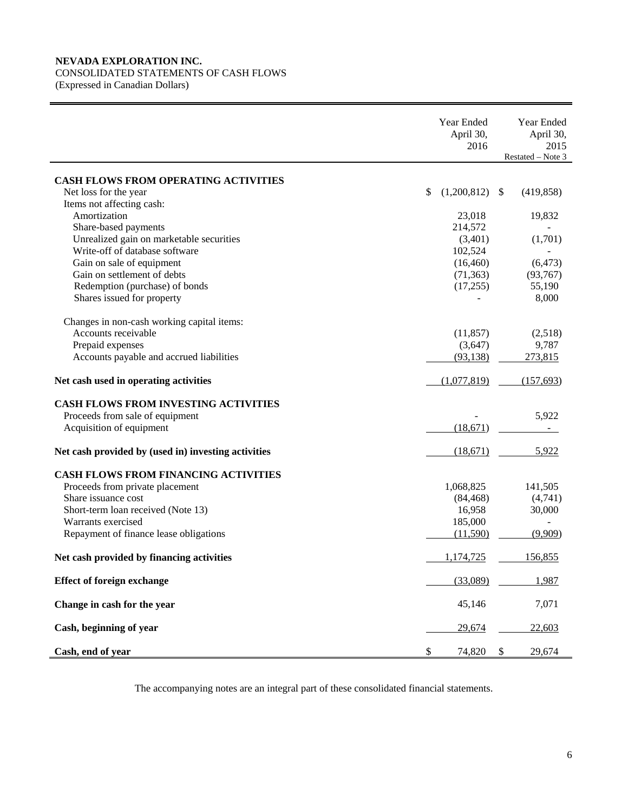## **NEVADA EXPLORATION INC.**

# CONSOLIDATED STATEMENTS OF CASH FLOWS

(Expressed in Canadian Dollars)

|                                                                            | Year Ended<br>April 30,<br>2016 | Year Ended<br>April 30,<br>2015<br>Restated – Note 3 |
|----------------------------------------------------------------------------|---------------------------------|------------------------------------------------------|
|                                                                            |                                 |                                                      |
| <b>CASH FLOWS FROM OPERATING ACTIVITIES</b>                                |                                 |                                                      |
| Net loss for the year                                                      | \$<br>$(1,200,812)$ \$          | (419, 858)                                           |
| Items not affecting cash:<br>Amortization                                  |                                 |                                                      |
| Share-based payments                                                       | 23,018<br>214,572               | 19,832                                               |
|                                                                            | (3,401)                         |                                                      |
| Unrealized gain on marketable securities<br>Write-off of database software | 102,524                         | (1,701)                                              |
| Gain on sale of equipment                                                  | (16, 460)                       | (6, 473)                                             |
| Gain on settlement of debts                                                | (71, 363)                       |                                                      |
|                                                                            |                                 | (93,767)                                             |
| Redemption (purchase) of bonds<br>Shares issued for property               | (17,255)                        | 55,190<br>8,000                                      |
|                                                                            |                                 |                                                      |
| Changes in non-cash working capital items:                                 |                                 |                                                      |
| Accounts receivable                                                        | (11, 857)                       | (2,518)                                              |
| Prepaid expenses                                                           | (3,647)                         | 9,787                                                |
| Accounts payable and accrued liabilities                                   | (93, 138)                       | 273,815                                              |
| Net cash used in operating activities                                      | (1,077,819)                     | (157,693)                                            |
| <b>CASH FLOWS FROM INVESTING ACTIVITIES</b>                                |                                 |                                                      |
| Proceeds from sale of equipment                                            |                                 | 5,922                                                |
| Acquisition of equipment                                                   | (18,671)                        | $\sim$                                               |
| Net cash provided by (used in) investing activities                        | (18,671)                        | 5,922                                                |
| <b>CASH FLOWS FROM FINANCING ACTIVITIES</b>                                |                                 |                                                      |
| Proceeds from private placement                                            | 1,068,825                       | 141,505                                              |
| Share issuance cost                                                        | (84, 468)                       | (4,741)                                              |
| Short-term loan received (Note 13)                                         | 16,958                          | 30,000                                               |
| Warrants exercised                                                         | 185,000                         |                                                      |
| Repayment of finance lease obligations                                     | (11,590)                        | (9,909)                                              |
|                                                                            |                                 |                                                      |
| Net cash provided by financing activities                                  | 1,174,725                       | 156,855                                              |
| <b>Effect of foreign exchange</b>                                          | (33,089)                        | 1,987                                                |
| Change in cash for the year                                                | 45,146                          | 7,071                                                |
| Cash, beginning of year                                                    | 29,674                          | 22,603                                               |
| Cash, end of year                                                          | \$<br>74,820                    | 29,674<br>\$                                         |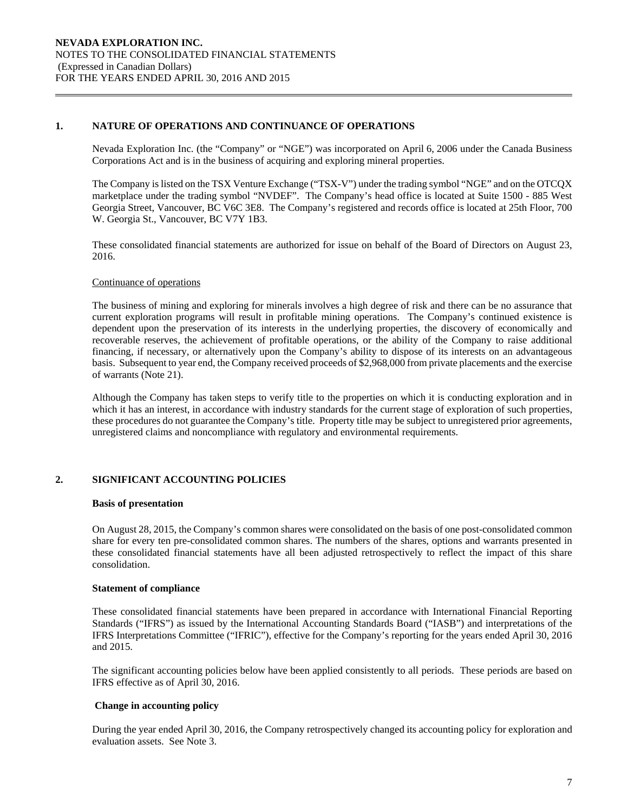## **1. NATURE OF OPERATIONS AND CONTINUANCE OF OPERATIONS**

Nevada Exploration Inc. (the "Company" or "NGE") was incorporated on April 6, 2006 under the Canada Business Corporations Act and is in the business of acquiring and exploring mineral properties.

The Company is listed on the TSX Venture Exchange ("TSX-V") under the trading symbol "NGE" and on the OTCQX marketplace under the trading symbol "NVDEF". The Company's head office is located at Suite 1500 - 885 West Georgia Street, Vancouver, BC V6C 3E8. The Company's registered and records office is located at 25th Floor, 700 W. Georgia St., Vancouver, BC V7Y 1B3.

 These consolidated financial statements are authorized for issue on behalf of the Board of Directors on August 23, 2016.

#### Continuance of operations

The business of mining and exploring for minerals involves a high degree of risk and there can be no assurance that current exploration programs will result in profitable mining operations. The Company's continued existence is dependent upon the preservation of its interests in the underlying properties, the discovery of economically and recoverable reserves, the achievement of profitable operations, or the ability of the Company to raise additional financing, if necessary, or alternatively upon the Company's ability to dispose of its interests on an advantageous basis. Subsequent to year end, the Company received proceeds of \$2,968,000 from private placements and the exercise of warrants (Note 21).

Although the Company has taken steps to verify title to the properties on which it is conducting exploration and in which it has an interest, in accordance with industry standards for the current stage of exploration of such properties, these procedures do not guarantee the Company's title. Property title may be subject to unregistered prior agreements, unregistered claims and noncompliance with regulatory and environmental requirements.

## **2. SIGNIFICANT ACCOUNTING POLICIES**

#### **Basis of presentation**

On August 28, 2015, the Company's common shares were consolidated on the basis of one post-consolidated common share for every ten pre-consolidated common shares. The numbers of the shares, options and warrants presented in these consolidated financial statements have all been adjusted retrospectively to reflect the impact of this share consolidation.

#### **Statement of compliance**

 These consolidated financial statements have been prepared in accordance with International Financial Reporting Standards ("IFRS") as issued by the International Accounting Standards Board ("IASB") and interpretations of the IFRS Interpretations Committee ("IFRIC"), effective for the Company's reporting for the years ended April 30, 2016 and 2015.

The significant accounting policies below have been applied consistently to all periods. These periods are based on IFRS effective as of April 30, 2016.

#### **Change in accounting policy**

 During the year ended April 30, 2016, the Company retrospectively changed its accounting policy for exploration and evaluation assets. See Note 3.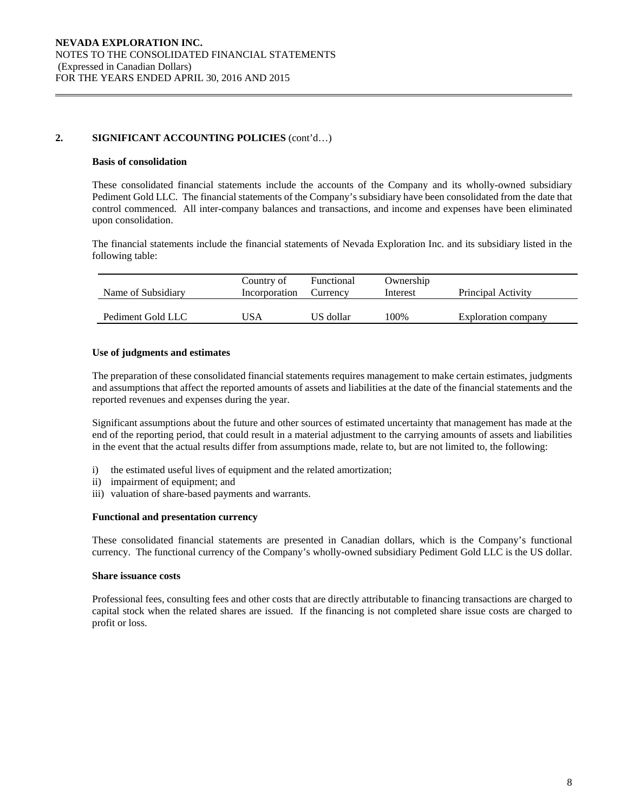## **2. SIGNIFICANT ACCOUNTING POLICIES** (cont'd…)

#### **Basis of consolidation**

 These consolidated financial statements include the accounts of the Company and its wholly-owned subsidiary Pediment Gold LLC. The financial statements of the Company's subsidiary have been consolidated from the date that control commenced. All inter-company balances and transactions, and income and expenses have been eliminated upon consolidation.

The financial statements include the financial statements of Nevada Exploration Inc. and its subsidiary listed in the following table:

| Name of Subsidiary | Functional<br>Country of<br>Incorporation<br>Currency |           | Ownership<br>Interest | Principal Activity  |  |  |  |
|--------------------|-------------------------------------------------------|-----------|-----------------------|---------------------|--|--|--|
| Pediment Gold LLC  | JSA                                                   | US dollar | 00%                   | Exploration company |  |  |  |

## **Use of judgments and estimates**

The preparation of these consolidated financial statements requires management to make certain estimates, judgments and assumptions that affect the reported amounts of assets and liabilities at the date of the financial statements and the reported revenues and expenses during the year.

 Significant assumptions about the future and other sources of estimated uncertainty that management has made at the end of the reporting period, that could result in a material adjustment to the carrying amounts of assets and liabilities in the event that the actual results differ from assumptions made, relate to, but are not limited to, the following:

- i) the estimated useful lives of equipment and the related amortization;
- ii) impairment of equipment; and
- iii) valuation of share-based payments and warrants.

#### **Functional and presentation currency**

These consolidated financial statements are presented in Canadian dollars, which is the Company's functional currency. The functional currency of the Company's wholly-owned subsidiary Pediment Gold LLC is the US dollar.

#### **Share issuance costs**

 Professional fees, consulting fees and other costs that are directly attributable to financing transactions are charged to capital stock when the related shares are issued. If the financing is not completed share issue costs are charged to profit or loss.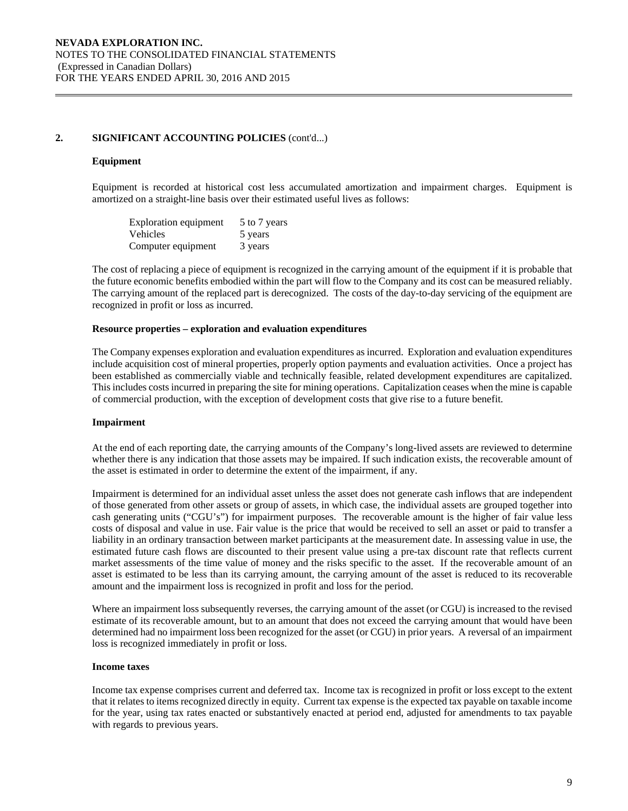## **2. SIGNIFICANT ACCOUNTING POLICIES** (cont'd...)

## **Equipment**

Equipment is recorded at historical cost less accumulated amortization and impairment charges. Equipment is amortized on a straight-line basis over their estimated useful lives as follows:

| <b>Exploration equipment</b> | 5 to 7 years |
|------------------------------|--------------|
| <b>Vehicles</b>              | 5 years      |
| Computer equipment           | 3 years      |

The cost of replacing a piece of equipment is recognized in the carrying amount of the equipment if it is probable that the future economic benefits embodied within the part will flow to the Company and its cost can be measured reliably. The carrying amount of the replaced part is derecognized. The costs of the day-to-day servicing of the equipment are recognized in profit or loss as incurred.

#### **Resource properties – exploration and evaluation expenditures**

 The Company expenses exploration and evaluation expenditures as incurred. Exploration and evaluation expenditures include acquisition cost of mineral properties, properly option payments and evaluation activities. Once a project has been established as commercially viable and technically feasible, related development expenditures are capitalized. This includes costs incurred in preparing the site for mining operations. Capitalization ceases when the mine is capable of commercial production, with the exception of development costs that give rise to a future benefit.

#### **Impairment**

At the end of each reporting date, the carrying amounts of the Company's long-lived assets are reviewed to determine whether there is any indication that those assets may be impaired. If such indication exists, the recoverable amount of the asset is estimated in order to determine the extent of the impairment, if any.

Impairment is determined for an individual asset unless the asset does not generate cash inflows that are independent of those generated from other assets or group of assets, in which case, the individual assets are grouped together into cash generating units ("CGU's") for impairment purposes. The recoverable amount is the higher of fair value less costs of disposal and value in use. Fair value is the price that would be received to sell an asset or paid to transfer a liability in an ordinary transaction between market participants at the measurement date. In assessing value in use, the estimated future cash flows are discounted to their present value using a pre-tax discount rate that reflects current market assessments of the time value of money and the risks specific to the asset. If the recoverable amount of an asset is estimated to be less than its carrying amount, the carrying amount of the asset is reduced to its recoverable amount and the impairment loss is recognized in profit and loss for the period.

Where an impairment loss subsequently reverses, the carrying amount of the asset (or CGU) is increased to the revised estimate of its recoverable amount, but to an amount that does not exceed the carrying amount that would have been determined had no impairment loss been recognized for the asset (or CGU) in prior years. A reversal of an impairment loss is recognized immediately in profit or loss.

#### **Income taxes**

Income tax expense comprises current and deferred tax. Income tax is recognized in profit or loss except to the extent that it relates to items recognized directly in equity. Current tax expense is the expected tax payable on taxable income for the year, using tax rates enacted or substantively enacted at period end, adjusted for amendments to tax payable with regards to previous years.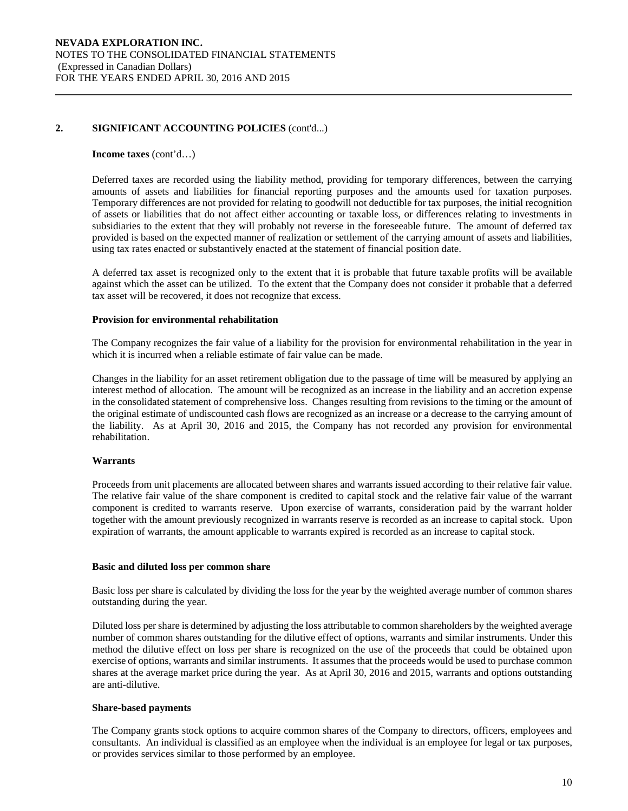## **2. SIGNIFICANT ACCOUNTING POLICIES** (cont'd...)

#### **Income taxes** (cont'd…)

Deferred taxes are recorded using the liability method, providing for temporary differences, between the carrying amounts of assets and liabilities for financial reporting purposes and the amounts used for taxation purposes. Temporary differences are not provided for relating to goodwill not deductible for tax purposes, the initial recognition of assets or liabilities that do not affect either accounting or taxable loss, or differences relating to investments in subsidiaries to the extent that they will probably not reverse in the foreseeable future. The amount of deferred tax provided is based on the expected manner of realization or settlement of the carrying amount of assets and liabilities, using tax rates enacted or substantively enacted at the statement of financial position date.

A deferred tax asset is recognized only to the extent that it is probable that future taxable profits will be available against which the asset can be utilized. To the extent that the Company does not consider it probable that a deferred tax asset will be recovered, it does not recognize that excess.

## **Provision for environmental rehabilitation**

The Company recognizes the fair value of a liability for the provision for environmental rehabilitation in the year in which it is incurred when a reliable estimate of fair value can be made.

Changes in the liability for an asset retirement obligation due to the passage of time will be measured by applying an interest method of allocation. The amount will be recognized as an increase in the liability and an accretion expense in the consolidated statement of comprehensive loss. Changes resulting from revisions to the timing or the amount of the original estimate of undiscounted cash flows are recognized as an increase or a decrease to the carrying amount of the liability. As at April 30, 2016 and 2015, the Company has not recorded any provision for environmental rehabilitation.

## **Warrants**

Proceeds from unit placements are allocated between shares and warrants issued according to their relative fair value. The relative fair value of the share component is credited to capital stock and the relative fair value of the warrant component is credited to warrants reserve. Upon exercise of warrants, consideration paid by the warrant holder together with the amount previously recognized in warrants reserve is recorded as an increase to capital stock. Upon expiration of warrants, the amount applicable to warrants expired is recorded as an increase to capital stock.

#### **Basic and diluted loss per common share**

Basic loss per share is calculated by dividing the loss for the year by the weighted average number of common shares outstanding during the year.

 Diluted loss per share is determined by adjusting the loss attributable to common shareholders by the weighted average number of common shares outstanding for the dilutive effect of options, warrants and similar instruments. Under this method the dilutive effect on loss per share is recognized on the use of the proceeds that could be obtained upon exercise of options, warrants and similar instruments. It assumes that the proceeds would be used to purchase common shares at the average market price during the year. As at April 30, 2016 and 2015, warrants and options outstanding are anti-dilutive.

#### **Share-based payments**

The Company grants stock options to acquire common shares of the Company to directors, officers, employees and consultants. An individual is classified as an employee when the individual is an employee for legal or tax purposes, or provides services similar to those performed by an employee.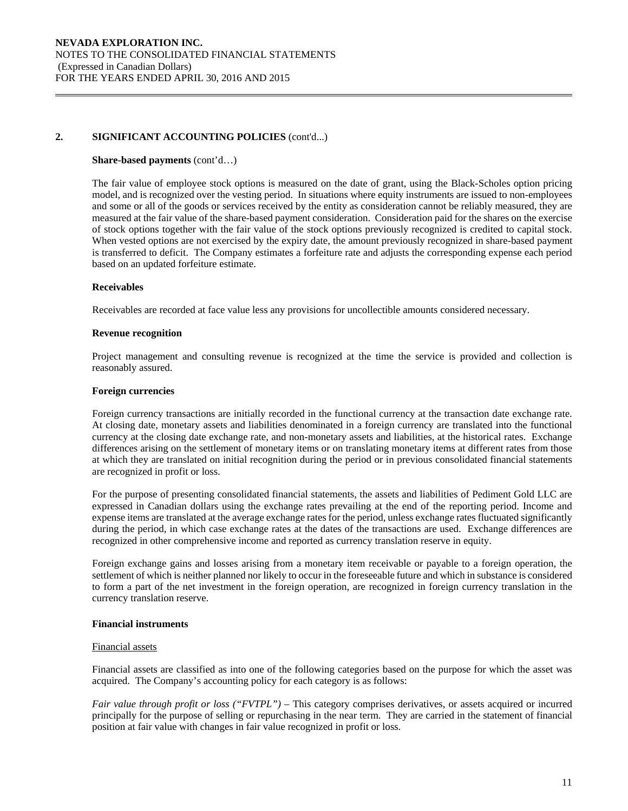## **2. SIGNIFICANT ACCOUNTING POLICIES** (cont'd...)

#### **Share-based payments** (cont'd…)

The fair value of employee stock options is measured on the date of grant, using the Black-Scholes option pricing model, and is recognized over the vesting period. In situations where equity instruments are issued to non-employees and some or all of the goods or services received by the entity as consideration cannot be reliably measured, they are measured at the fair value of the share-based payment consideration. Consideration paid for the shares on the exercise of stock options together with the fair value of the stock options previously recognized is credited to capital stock. When vested options are not exercised by the expiry date, the amount previously recognized in share-based payment is transferred to deficit. The Company estimates a forfeiture rate and adjusts the corresponding expense each period based on an updated forfeiture estimate.

## **Receivables**

Receivables are recorded at face value less any provisions for uncollectible amounts considered necessary.

#### **Revenue recognition**

Project management and consulting revenue is recognized at the time the service is provided and collection is reasonably assured.

## **Foreign currencies**

 Foreign currency transactions are initially recorded in the functional currency at the transaction date exchange rate. At closing date, monetary assets and liabilities denominated in a foreign currency are translated into the functional currency at the closing date exchange rate, and non-monetary assets and liabilities, at the historical rates. Exchange differences arising on the settlement of monetary items or on translating monetary items at different rates from those at which they are translated on initial recognition during the period or in previous consolidated financial statements are recognized in profit or loss.

For the purpose of presenting consolidated financial statements, the assets and liabilities of Pediment Gold LLC are expressed in Canadian dollars using the exchange rates prevailing at the end of the reporting period. Income and expense items are translated at the average exchange rates for the period, unless exchange rates fluctuated significantly during the period, in which case exchange rates at the dates of the transactions are used. Exchange differences are recognized in other comprehensive income and reported as currency translation reserve in equity.

 Foreign exchange gains and losses arising from a monetary item receivable or payable to a foreign operation, the settlement of which is neither planned nor likely to occur in the foreseeable future and which in substance is considered to form a part of the net investment in the foreign operation, are recognized in foreign currency translation in the currency translation reserve.

#### **Financial instruments**

#### Financial assets

Financial assets are classified as into one of the following categories based on the purpose for which the asset was acquired. The Company's accounting policy for each category is as follows:

*Fair value through profit or loss ("FVTPL")* – This category comprises derivatives, or assets acquired or incurred principally for the purpose of selling or repurchasing in the near term. They are carried in the statement of financial position at fair value with changes in fair value recognized in profit or loss.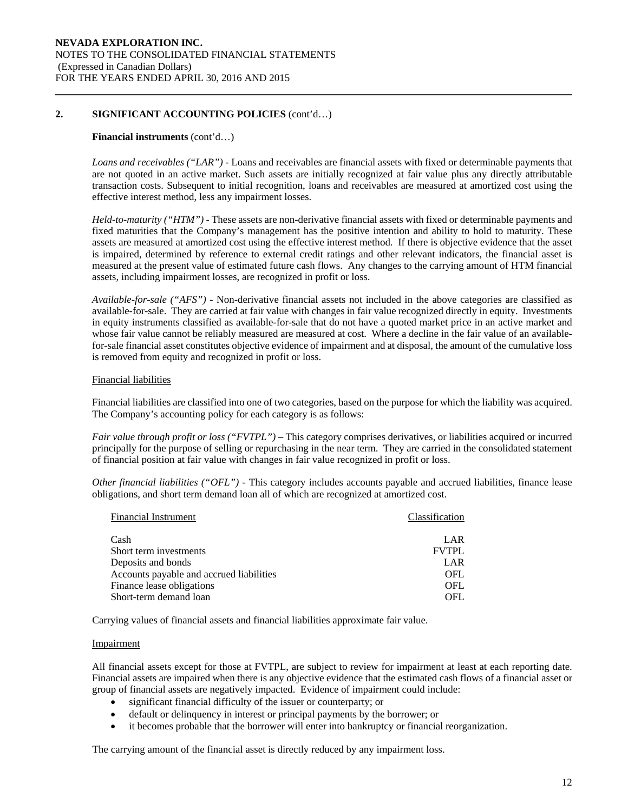## **2. SIGNIFICANT ACCOUNTING POLICIES** (cont'd…)

#### **Financial instruments** (cont'd…)

*Loans and receivables ("LAR") -* Loans and receivables are financial assets with fixed or determinable payments that are not quoted in an active market. Such assets are initially recognized at fair value plus any directly attributable transaction costs. Subsequent to initial recognition, loans and receivables are measured at amortized cost using the effective interest method, less any impairment losses.

*Held-to-maturity ("HTM") -* These assets are non-derivative financial assets with fixed or determinable payments and fixed maturities that the Company's management has the positive intention and ability to hold to maturity. These assets are measured at amortized cost using the effective interest method. If there is objective evidence that the asset is impaired, determined by reference to external credit ratings and other relevant indicators, the financial asset is measured at the present value of estimated future cash flows. Any changes to the carrying amount of HTM financial assets, including impairment losses, are recognized in profit or loss.

*Available-for-sale ("AFS") -* Non-derivative financial assets not included in the above categories are classified as available-for-sale. They are carried at fair value with changes in fair value recognized directly in equity. Investments in equity instruments classified as available-for-sale that do not have a quoted market price in an active market and whose fair value cannot be reliably measured are measured at cost. Where a decline in the fair value of an availablefor-sale financial asset constitutes objective evidence of impairment and at disposal, the amount of the cumulative loss is removed from equity and recognized in profit or loss.

#### Financial liabilities

Financial liabilities are classified into one of two categories, based on the purpose for which the liability was acquired. The Company's accounting policy for each category is as follows:

*Fair value through profit or loss ("FVTPL")* – This category comprises derivatives, or liabilities acquired or incurred principally for the purpose of selling or repurchasing in the near term. They are carried in the consolidated statement of financial position at fair value with changes in fair value recognized in profit or loss.

*Other financial liabilities ("OFL") -* This category includes accounts payable and accrued liabilities, finance lease obligations, and short term demand loan all of which are recognized at amortized cost.

| <b>Financial Instrument</b>              | Classification |
|------------------------------------------|----------------|
| Cash                                     | LAR            |
| Short term investments                   | <b>FVTPL</b>   |
| Deposits and bonds                       | LAR            |
| Accounts payable and accrued liabilities | OFL.           |
| Finance lease obligations                | OFL.           |
| Short-term demand loan                   | OFL.           |

Carrying values of financial assets and financial liabilities approximate fair value.

#### Impairment

All financial assets except for those at FVTPL, are subject to review for impairment at least at each reporting date. Financial assets are impaired when there is any objective evidence that the estimated cash flows of a financial asset or group of financial assets are negatively impacted. Evidence of impairment could include:

- significant financial difficulty of the issuer or counterparty; or
- default or delinquency in interest or principal payments by the borrower; or
- it becomes probable that the borrower will enter into bankruptcy or financial reorganization.

The carrying amount of the financial asset is directly reduced by any impairment loss.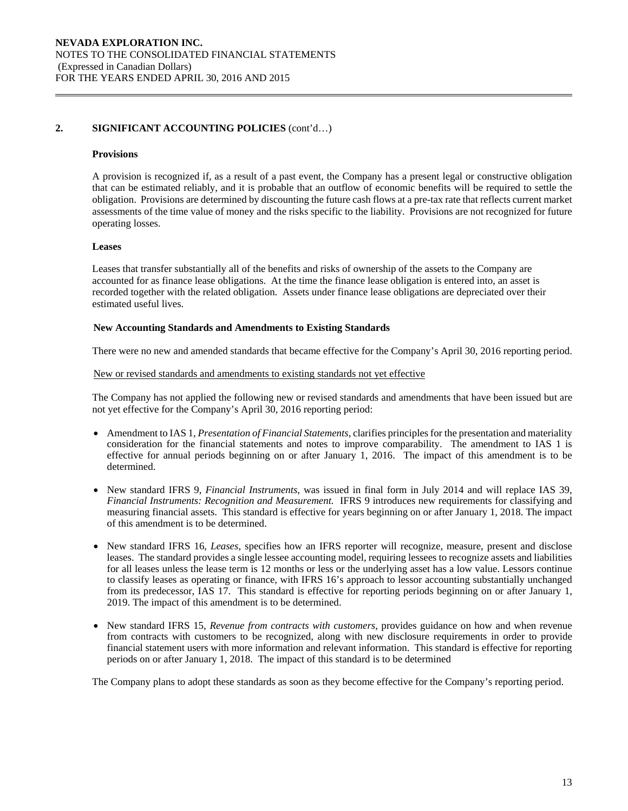## **2. SIGNIFICANT ACCOUNTING POLICIES** (cont'd…)

#### **Provisions**

A provision is recognized if, as a result of a past event, the Company has a present legal or constructive obligation that can be estimated reliably, and it is probable that an outflow of economic benefits will be required to settle the obligation. Provisions are determined by discounting the future cash flows at a pre-tax rate that reflects current market assessments of the time value of money and the risks specific to the liability. Provisions are not recognized for future operating losses.

## **Leases**

Leases that transfer substantially all of the benefits and risks of ownership of the assets to the Company are accounted for as finance lease obligations. At the time the finance lease obligation is entered into, an asset is recorded together with the related obligation. Assets under finance lease obligations are depreciated over their estimated useful lives.

## **New Accounting Standards and Amendments to Existing Standards**

There were no new and amended standards that became effective for the Company's April 30, 2016 reporting period.

## New or revised standards and amendments to existing standards not yet effective

 The Company has not applied the following new or revised standards and amendments that have been issued but are not yet effective for the Company's April 30, 2016 reporting period:

- Amendment to IAS 1, *Presentation of Financial Statements*, clarifies principles for the presentation and materiality consideration for the financial statements and notes to improve comparability. The amendment to IAS 1 is effective for annual periods beginning on or after January 1, 2016. The impact of this amendment is to be determined.
- New standard IFRS 9, *Financial Instruments*, was issued in final form in July 2014 and will replace IAS 39, *Financial Instruments: Recognition and Measurement.* IFRS 9 introduces new requirements for classifying and measuring financial assets. This standard is effective for years beginning on or after January 1, 2018. The impact of this amendment is to be determined.
- New standard IFRS 16, *Leases*, specifies how an IFRS reporter will recognize, measure, present and disclose leases. The standard provides a single lessee accounting model, requiring lessees to recognize assets and liabilities for all leases unless the lease term is 12 months or less or the underlying asset has a low value. Lessors continue to classify leases as operating or finance, with IFRS 16's approach to lessor accounting substantially unchanged from its predecessor, IAS 17. This standard is effective for reporting periods beginning on or after January 1, 2019. The impact of this amendment is to be determined.
- New standard IFRS 15, *Revenue from contracts with customers*, provides guidance on how and when revenue from contracts with customers to be recognized, along with new disclosure requirements in order to provide financial statement users with more information and relevant information. This standard is effective for reporting periods on or after January 1, 2018. The impact of this standard is to be determined

The Company plans to adopt these standards as soon as they become effective for the Company's reporting period.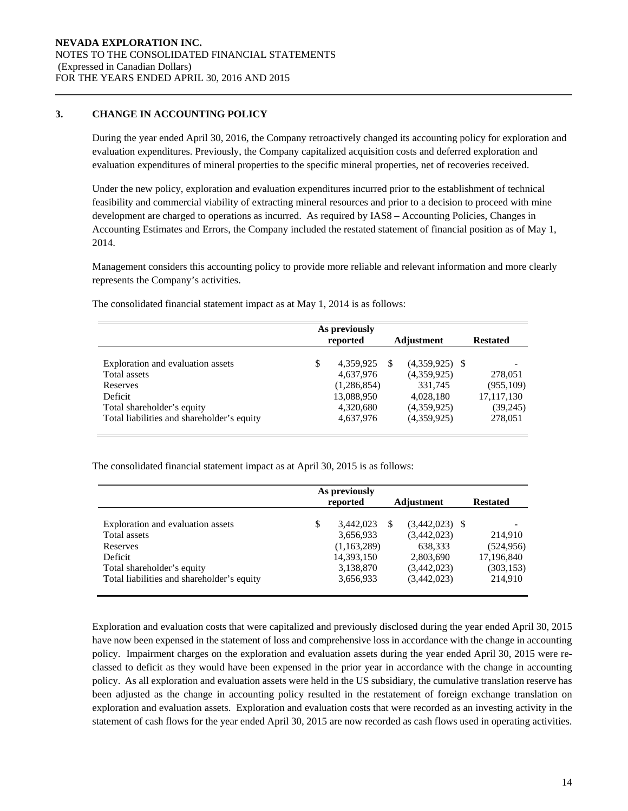## **3. CHANGE IN ACCOUNTING POLICY**

During the year ended April 30, 2016, the Company retroactively changed its accounting policy for exploration and evaluation expenditures. Previously, the Company capitalized acquisition costs and deferred exploration and evaluation expenditures of mineral properties to the specific mineral properties, net of recoveries received.

Under the new policy, exploration and evaluation expenditures incurred prior to the establishment of technical feasibility and commercial viability of extracting mineral resources and prior to a decision to proceed with mine development are charged to operations as incurred. As required by IAS8 – Accounting Policies, Changes in Accounting Estimates and Errors, the Company included the restated statement of financial position as of May 1, 2014.

Management considers this accounting policy to provide more reliable and relevant information and more clearly represents the Company's activities.

The consolidated financial statement impact as at May 1, 2014 is as follows:

|                                                                                                                                                      | As previously<br>reported<br><b>Adjustment</b>                                      |    |                                                                                       |  | <b>Restated</b>                                            |
|------------------------------------------------------------------------------------------------------------------------------------------------------|-------------------------------------------------------------------------------------|----|---------------------------------------------------------------------------------------|--|------------------------------------------------------------|
| Exploration and evaluation assets<br>Total assets<br>Reserves<br>Deficit<br>Total shareholder's equity<br>Total liabilities and shareholder's equity | \$<br>4,359,925<br>4,637,976<br>(1,286,854)<br>13,088,950<br>4,320,680<br>4,637,976 | -S | $(4,359,925)$ \$<br>(4,359,925)<br>331,745<br>4,028,180<br>(4,359,925)<br>(4,359,925) |  | 278,051<br>(955, 109)<br>17,117,130<br>(39,245)<br>278,051 |

The consolidated financial statement impact as at April 30, 2015 is as follows:

|                                                                                                                                                             | As previously<br>reported                                                           | <b>Restated</b> |                                                                                       |                                                              |
|-------------------------------------------------------------------------------------------------------------------------------------------------------------|-------------------------------------------------------------------------------------|-----------------|---------------------------------------------------------------------------------------|--------------------------------------------------------------|
| Exploration and evaluation assets<br>Total assets<br><b>Reserves</b><br>Deficit<br>Total shareholder's equity<br>Total liabilities and shareholder's equity | \$<br>3,442,023<br>3,656,933<br>(1,163,289)<br>14,393,150<br>3,138,870<br>3,656,933 | -S              | $(3,442,023)$ \$<br>(3,442,023)<br>638,333<br>2,803,690<br>(3,442,023)<br>(3,442,023) | 214,910<br>(524, 956)<br>17,196,840<br>(303, 153)<br>214,910 |

Exploration and evaluation costs that were capitalized and previously disclosed during the year ended April 30, 2015 have now been expensed in the statement of loss and comprehensive loss in accordance with the change in accounting policy. Impairment charges on the exploration and evaluation assets during the year ended April 30, 2015 were reclassed to deficit as they would have been expensed in the prior year in accordance with the change in accounting policy. As all exploration and evaluation assets were held in the US subsidiary, the cumulative translation reserve has been adjusted as the change in accounting policy resulted in the restatement of foreign exchange translation on exploration and evaluation assets. Exploration and evaluation costs that were recorded as an investing activity in the statement of cash flows for the year ended April 30, 2015 are now recorded as cash flows used in operating activities.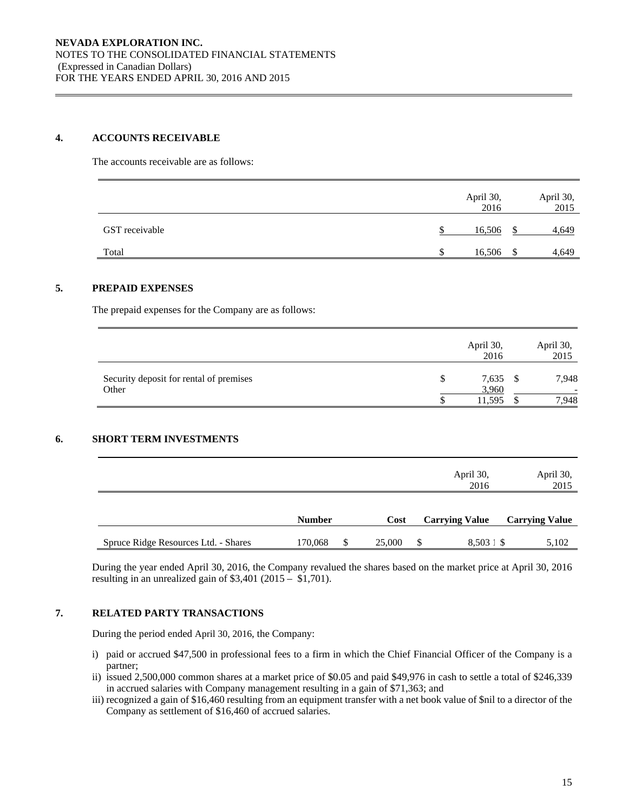#### **4. ACCOUNTS RECEIVABLE**

The accounts receivable are as follows:

|                |   | April 30,<br>2016 |    | April 30,<br>2015 |
|----------------|---|-------------------|----|-------------------|
| GST receivable |   | 16,506            |    | 4,649             |
| Total          | S | 16,506            | -S | 4,649             |

## **5. PREPAID EXPENSES**

The prepaid expenses for the Company are as follows:

|                                         |   | April 30,<br>2016 | April 30,<br>2015 |
|-----------------------------------------|---|-------------------|-------------------|
| Security deposit for rental of premises | S | 7,635             | 7,948             |
| Other                                   |   | 3,960             |                   |
|                                         |   | 11,595            | 7,948             |

## **6. SHORT TERM INVESTMENTS**

|                                      |               |        |    | April 30,<br>2016       | April 30,<br>2015     |
|--------------------------------------|---------------|--------|----|-------------------------|-----------------------|
|                                      | <b>Number</b> | Cost   |    | <b>Carrying Value</b>   | <b>Carrying Value</b> |
| Spruce Ridge Resources Ltd. - Shares | 170,068       | 25,000 | -S | $8,503 \perp \text{\$}$ | 5,102                 |

During the year ended April 30, 2016, the Company revalued the shares based on the market price at April 30, 2016 resulting in an unrealized gain of \$3,401 (2015 – \$1,701).

## **7. RELATED PARTY TRANSACTIONS**

During the period ended April 30, 2016, the Company:

- i) paid or accrued \$47,500 in professional fees to a firm in which the Chief Financial Officer of the Company is a partner;
- ii) issued 2,500,000 common shares at a market price of \$0.05 and paid \$49,976 in cash to settle a total of \$246,339 in accrued salaries with Company management resulting in a gain of \$71,363; and
- iii) recognized a gain of \$16,460 resulting from an equipment transfer with a net book value of \$nil to a director of the Company as settlement of \$16,460 of accrued salaries.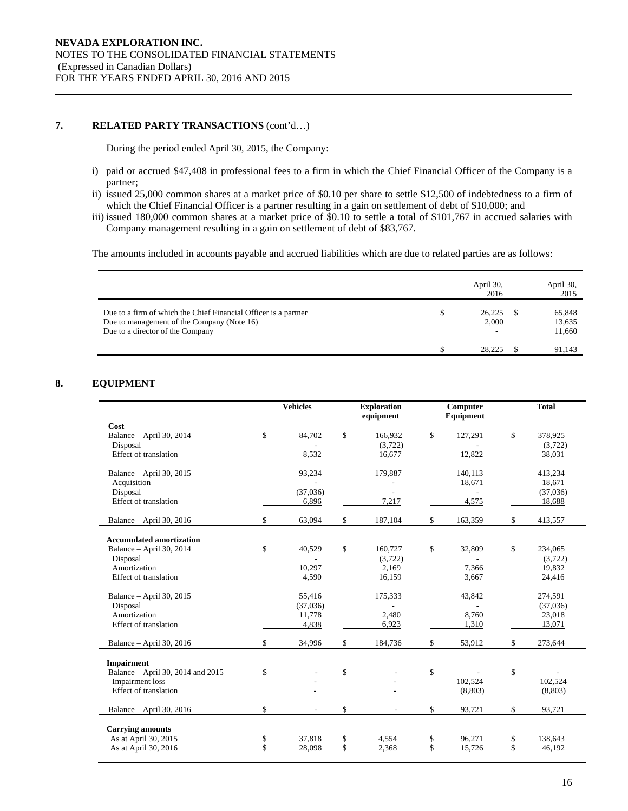# **7. RELATED PARTY TRANSACTIONS** (cont'd…)

During the period ended April 30, 2015, the Company:

- i) paid or accrued \$47,408 in professional fees to a firm in which the Chief Financial Officer of the Company is a partner;
- ii) issued 25,000 common shares at a market price of \$0.10 per share to settle \$12,500 of indebtedness to a firm of which the Chief Financial Officer is a partner resulting in a gain on settlement of debt of \$10,000; and
- iii) issued 180,000 common shares at a market price of \$0.10 to settle a total of \$101,767 in accrued salaries with Company management resulting in a gain on settlement of debt of \$83,767.

The amounts included in accounts payable and accrued liabilities which are due to related parties are as follows:

|                                                                                                                                                   | April 30,<br>2016 | April 30,<br>2015          |
|---------------------------------------------------------------------------------------------------------------------------------------------------|-------------------|----------------------------|
| Due to a firm of which the Chief Financial Officer is a partner<br>Due to management of the Company (Note 16)<br>Due to a director of the Company | 26.225<br>2,000   | 65,848<br>13,635<br>11,660 |
|                                                                                                                                                   | 28.225            | 91.143                     |

## **8. EQUIPMENT**

|                                              |                    | <b>Vehicles</b>   | <b>Exploration</b><br>equipment |                          | Computer<br>Equipment |             | <b>Total</b>       |
|----------------------------------------------|--------------------|-------------------|---------------------------------|--------------------------|-----------------------|-------------|--------------------|
| Cost<br>Balance - April 30, 2014             | \$                 | 84,702            | \$                              | 166,932                  | \$<br>127,291         | \$          | 378,925            |
| Disposal<br>Effect of translation            |                    | 8,532             |                                 | (3,722)<br>16,677        | 12,822                |             | (3,722)<br>38,031  |
| Balance - April 30, 2015<br>Acquisition      |                    | 93,234            |                                 | 179,887                  | 140,113<br>18,671     |             | 413,234<br>18,671  |
| Disposal<br><b>Effect</b> of translation     |                    | (37,036)<br>6,896 |                                 | 7,217                    | 4,575                 |             | (37,036)<br>18,688 |
| Balance - April 30, 2016                     | \$                 | 63,094            | \$                              | 187,104                  | \$<br>163,359         | \$          | 413,557            |
| <b>Accumulated amortization</b>              |                    |                   |                                 |                          |                       |             |                    |
| Balance - April 30, 2014                     | \$                 | 40,529            | \$                              | 160,727                  | \$<br>32,809          | \$          | 234,065            |
| Disposal                                     |                    |                   |                                 | (3,722)                  |                       |             | (3,722)            |
| Amortization<br><b>Effect</b> of translation |                    | 10,297            |                                 | 2,169                    | 7,366<br>3,667        |             | 19,832             |
|                                              |                    | 4,590             |                                 | 16,159                   |                       |             | 24,416             |
| Balance - April 30, 2015                     |                    | 55,416            |                                 | 175,333                  | 43,842                |             | 274,591            |
| Disposal                                     |                    | (37,036)          |                                 |                          |                       |             | (37,036)           |
| Amortization                                 |                    | 11,778            |                                 | 2,480                    | 8,760                 |             | 23,018             |
| Effect of translation                        |                    | 4,838             |                                 | 6,923                    | 1,310                 |             | 13,071             |
| Balance - April 30, 2016                     | $\mathbf{\hat{S}}$ | 34,996            | \$                              | 184,736                  | \$<br>53,912          | \$          | 273,644            |
| <b>Impairment</b>                            |                    |                   |                                 |                          |                       |             |                    |
| Balance - April 30, 2014 and 2015            | \$                 |                   | \$                              |                          | \$                    | $\mathbf S$ |                    |
| Impairment loss                              |                    |                   |                                 |                          | 102,524               |             | 102,524            |
| <b>Effect</b> of translation                 |                    |                   |                                 |                          | (8, 803)              |             | (8,803)            |
| Balance - April 30, 2016                     | \$                 | $\sim$            | \$                              | $\overline{\phantom{a}}$ | \$<br>93,721          | \$          | 93,721             |
| <b>Carrying amounts</b>                      |                    |                   |                                 |                          |                       |             |                    |
| As at April 30, 2015                         | \$                 | 37,818            | \$                              | 4,554                    | \$<br>96,271          | \$          | 138,643            |
| As at April 30, 2016                         | \$                 | 28.098            | \$                              | 2,368                    | \$<br>15,726          | \$          | 46,192             |
|                                              |                    |                   |                                 |                          |                       |             |                    |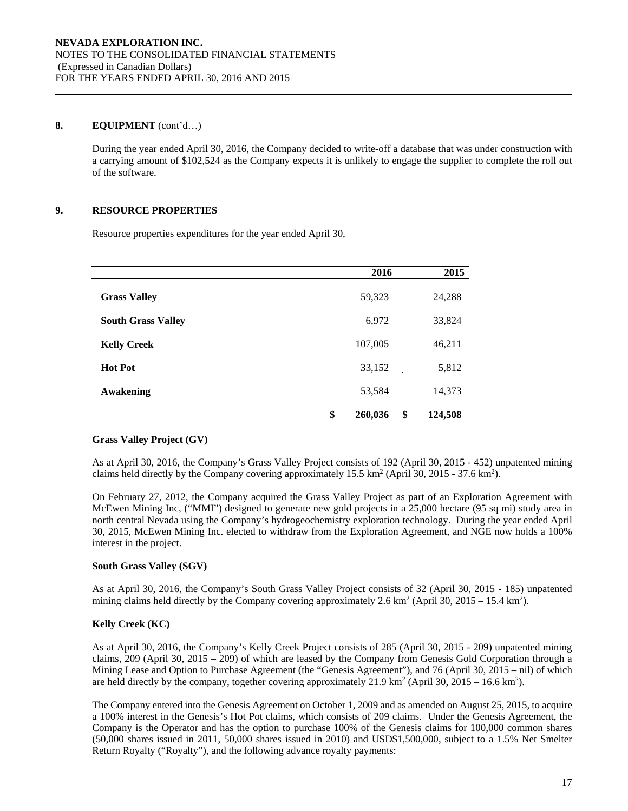## **8. EQUIPMENT** (cont'd…)

During the year ended April 30, 2016, the Company decided to write-off a database that was under construction with a carrying amount of \$102,524 as the Company expects it is unlikely to engage the supplier to complete the roll out of the software.

## **9. RESOURCE PROPERTIES**

Resource properties expenditures for the year ended April 30,

|                           | 2016          | 2015          |
|---------------------------|---------------|---------------|
| <b>Grass Valley</b>       | 59,323        | 24,288        |
| <b>South Grass Valley</b> | 6,972         | 33,824        |
| <b>Kelly Creek</b>        | 107,005       | 46,211        |
| <b>Hot Pot</b>            | 33,152        | 5,812         |
| Awakening                 | 53,584        | <u>14,373</u> |
|                           | \$<br>260,036 | \$<br>124,508 |

## **Grass Valley Project (GV)**

As at April 30, 2016, the Company's Grass Valley Project consists of 192 (April 30, 2015 - 452) unpatented mining claims held directly by the Company covering approximately  $15.5 \text{ km}^2$  (April 30, 2015 - 37.6 km<sup>2</sup>).

On February 27, 2012, the Company acquired the Grass Valley Project as part of an Exploration Agreement with McEwen Mining Inc, ("MMI") designed to generate new gold projects in a 25,000 hectare (95 sq mi) study area in north central Nevada using the Company's hydrogeochemistry exploration technology. During the year ended April 30, 2015, McEwen Mining Inc. elected to withdraw from the Exploration Agreement, and NGE now holds a 100% interest in the project.

## **South Grass Valley (SGV)**

As at April 30, 2016, the Company's South Grass Valley Project consists of 32 (April 30, 2015 - 185) unpatented mining claims held directly by the Company covering approximately 2.6 km<sup>2</sup> (April 30, 2015 – 15.4 km<sup>2</sup>).

## **Kelly Creek (KC)**

As at April 30, 2016, the Company's Kelly Creek Project consists of 285 (April 30, 2015 - 209) unpatented mining claims, 209 (April 30, 2015 – 209) of which are leased by the Company from Genesis Gold Corporation through a Mining Lease and Option to Purchase Agreement (the "Genesis Agreement"), and 76 (April 30, 2015 – nil) of which are held directly by the company, together covering approximately  $21.9 \text{ km}^2$  (April 30,  $2015 - 16.6 \text{ km}^2$ ).

The Company entered into the Genesis Agreement on October 1, 2009 and as amended on August 25, 2015, to acquire a 100% interest in the Genesis's Hot Pot claims, which consists of 209 claims. Under the Genesis Agreement, the Company is the Operator and has the option to purchase 100% of the Genesis claims for 100,000 common shares (50,000 shares issued in 2011, 50,000 shares issued in 2010) and USD\$1,500,000, subject to a 1.5% Net Smelter Return Royalty ("Royalty"), and the following advance royalty payments: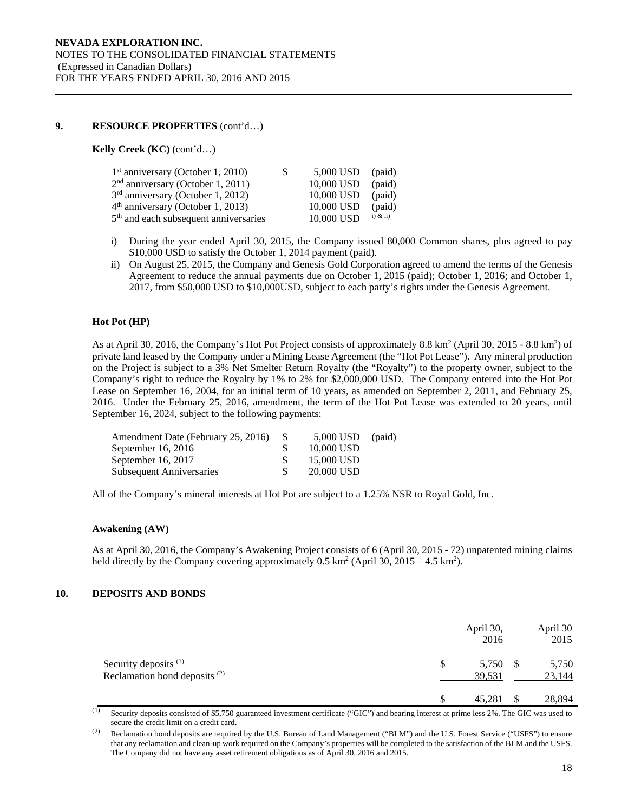## **9. RESOURCE PROPERTIES** (cont'd…)

#### **Kelly Creek (KC)** (cont'd…)

| $1st$ anniversary (October 1, 2010)               | S. | 5,000 USD  | (paid)       |
|---------------------------------------------------|----|------------|--------------|
| $2nd$ anniversary (October 1, 2011)               |    | 10,000 USD | (paid)       |
| $3rd$ anniversary (October 1, 2012)               |    | 10,000 USD | (paid)       |
| 4 <sup>th</sup> anniversary (October 1, 2013)     |    | 10,000 USD | (paid)       |
| 5 <sup>th</sup> and each subsequent anniversaries |    | 10,000 USD | $i)$ & $ii)$ |

- i) During the year ended April 30, 2015, the Company issued 80,000 Common shares, plus agreed to pay \$10,000 USD to satisfy the October 1, 2014 payment (paid).
- ii) On August 25, 2015, the Company and Genesis Gold Corporation agreed to amend the terms of the Genesis Agreement to reduce the annual payments due on October 1, 2015 (paid); October 1, 2016; and October 1, 2017, from \$50,000 USD to \$10,000USD, subject to each party's rights under the Genesis Agreement.

#### **Hot Pot (HP)**

As at April 30, 2016, the Company's Hot Project consists of approximately  $8.8 \text{ km}^2$  (April 30, 2015 -  $8.8 \text{ km}^2$ ) of private land leased by the Company under a Mining Lease Agreement (the "Hot Pot Lease"). Any mineral production on the Project is subject to a 3% Net Smelter Return Royalty (the "Royalty") to the property owner, subject to the Company's right to reduce the Royalty by 1% to 2% for \$2,000,000 USD. The Company entered into the Hot Pot Lease on September 16, 2004, for an initial term of 10 years, as amended on September 2, 2011, and February 25, 2016. Under the February 25, 2016, amendment, the term of the Hot Pot Lease was extended to 20 years, until September 16, 2024, subject to the following payments:

| Amendment Date (February 25, 2016) | - S | 5,000 USD  | (paid) |
|------------------------------------|-----|------------|--------|
| September 16, 2016                 |     | 10,000 USD |        |
| September 16, 2017                 |     | 15,000 USD |        |
| <b>Subsequent Anniversaries</b>    |     | 20,000 USD |        |

All of the Company's mineral interests at Hot Pot are subject to a 1.25% NSR to Royal Gold, Inc.

#### **Awakening (AW)**

As at April 30, 2016, the Company's Awakening Project consists of 6 (April 30, 2015 - 72) unpatented mining claims held directly by the Company covering approximately  $0.5 \text{ km}^2$  (April 30, 2015 – 4.5 km<sup>2</sup>).

## **10. DEPOSITS AND BONDS**

|                                                                              | April 30,<br>2016        | April 30<br>2015 |
|------------------------------------------------------------------------------|--------------------------|------------------|
| Security deposits <sup>(1)</sup><br>Reclamation bond deposits <sup>(2)</sup> | 5,750 \$<br>\$<br>39,531 | 5,750<br>23,144  |
|                                                                              | \$<br>45,281             | 28,894           |

<sup>(1)</sup> Security deposits consisted of \$5,750 guaranteed investment certificate ("GIC") and bearing interest at prime less 2%. The GIC was used to secure the credit limit on a credit card.

<sup>(2)</sup> Reclamation bond deposits are required by the U.S. Bureau of Land Management ("BLM") and the U.S. Forest Service ("USFS") to ensure that any reclamation and clean-up work required on the Company's properties will be completed to the satisfaction of the BLM and the USFS. The Company did not have any asset retirement obligations as of April 30, 2016 and 2015.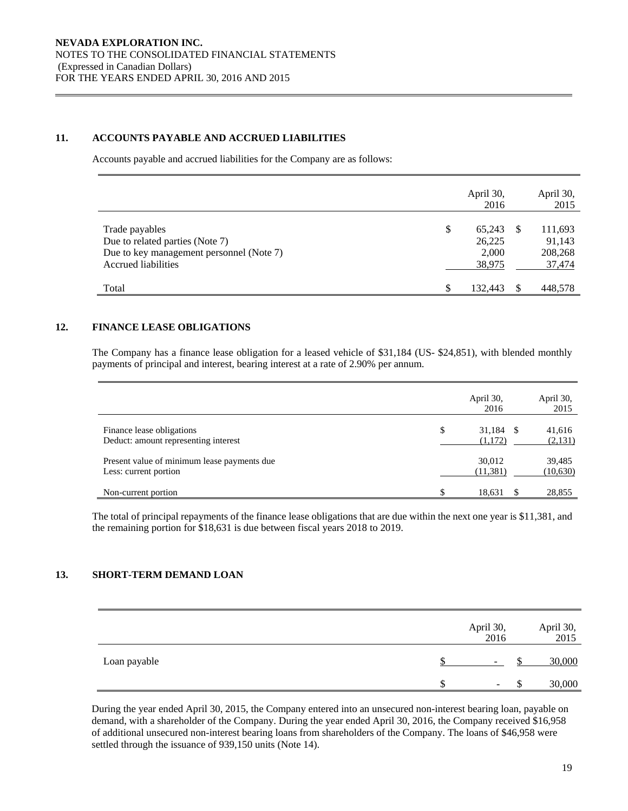## **11. ACCOUNTS PAYABLE AND ACCRUED LIABILITIES**

Accounts payable and accrued liabilities for the Company are as follows:

|                                                                                                                      |     | April 30,<br>2016                   |     | April 30,<br>2015                      |
|----------------------------------------------------------------------------------------------------------------------|-----|-------------------------------------|-----|----------------------------------------|
| Trade payables<br>Due to related parties (Note 7)<br>Due to key management personnel (Note 7)<br>Accrued liabilities | \$  | 65,243<br>26,225<br>2,000<br>38,975 | -S  | 111,693<br>91,143<br>208,268<br>37,474 |
| Total                                                                                                                | \$. | 132,443                             | \$. | 448,578                                |

## **12. FINANCE LEASE OBLIGATIONS**

The Company has a finance lease obligation for a leased vehicle of \$31,184 (US- \$24,851), with blended monthly payments of principal and interest, bearing interest at a rate of 2.90% per annum.

|                                                                      | April 30,<br>2016       |     | April 30,<br>2015  |
|----------------------------------------------------------------------|-------------------------|-----|--------------------|
| Finance lease obligations<br>Deduct: amount representing interest    | \$<br>31,184<br>(1,172) | - S | 41,616<br>(2,131)  |
| Present value of minimum lease payments due<br>Less: current portion | 30,012<br>(11, 381)     |     | 39,485<br>(10,630) |
| Non-current portion                                                  | \$<br>18,631            |     | 28,855             |

The total of principal repayments of the finance lease obligations that are due within the next one year is \$11,381, and the remaining portion for \$18,631 is due between fiscal years 2018 to 2019.

# **13. SHORT-TERM DEMAND LOAN**

|              | April 30,<br>2016 | April 30,<br>2015 |
|--------------|-------------------|-------------------|
| Loan payable | -                 | 30,000            |
|              | $\sim$            | 30,000            |

During the year ended April 30, 2015, the Company entered into an unsecured non-interest bearing loan, payable on demand, with a shareholder of the Company. During the year ended April 30, 2016, the Company received \$16,958 of additional unsecured non-interest bearing loans from shareholders of the Company. The loans of \$46,958 were settled through the issuance of 939,150 units (Note 14).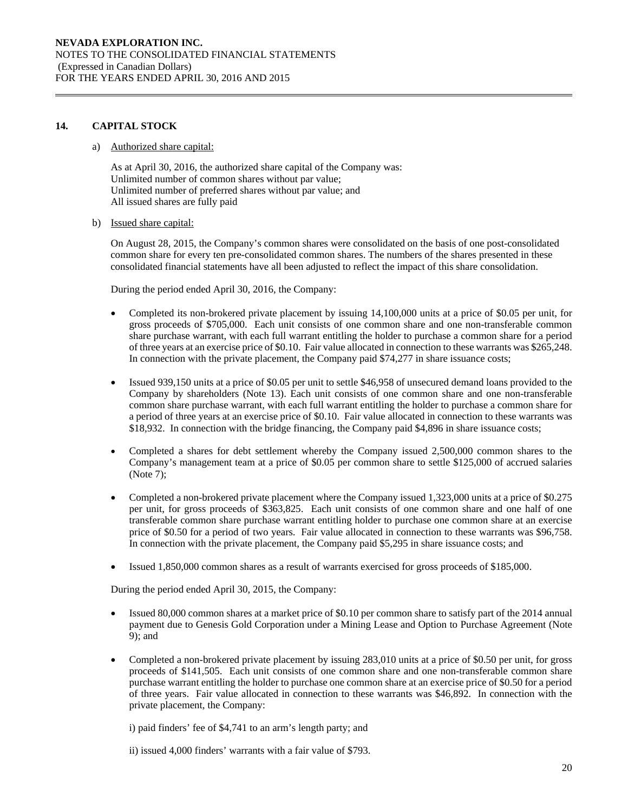## **14. CAPITAL STOCK**

#### a) Authorized share capital:

As at April 30, 2016, the authorized share capital of the Company was: Unlimited number of common shares without par value; Unlimited number of preferred shares without par value; and All issued shares are fully paid

#### b) Issued share capital:

On August 28, 2015, the Company's common shares were consolidated on the basis of one post-consolidated common share for every ten pre-consolidated common shares. The numbers of the shares presented in these consolidated financial statements have all been adjusted to reflect the impact of this share consolidation.

During the period ended April 30, 2016, the Company:

- Completed its non-brokered private placement by issuing 14,100,000 units at a price of \$0.05 per unit, for gross proceeds of \$705,000. Each unit consists of one common share and one non-transferable common share purchase warrant, with each full warrant entitling the holder to purchase a common share for a period of three years at an exercise price of \$0.10. Fair value allocated in connection to these warrants was \$265,248. In connection with the private placement, the Company paid \$74,277 in share issuance costs;
- Issued 939,150 units at a price of \$0.05 per unit to settle \$46,958 of unsecured demand loans provided to the Company by shareholders (Note 13). Each unit consists of one common share and one non-transferable common share purchase warrant, with each full warrant entitling the holder to purchase a common share for a period of three years at an exercise price of \$0.10. Fair value allocated in connection to these warrants was \$18,932. In connection with the bridge financing, the Company paid \$4,896 in share issuance costs;
- Completed a shares for debt settlement whereby the Company issued 2,500,000 common shares to the Company's management team at a price of \$0.05 per common share to settle \$125,000 of accrued salaries (Note 7);
- Completed a non-brokered private placement where the Company issued 1,323,000 units at a price of \$0.275 per unit, for gross proceeds of \$363,825. Each unit consists of one common share and one half of one transferable common share purchase warrant entitling holder to purchase one common share at an exercise price of \$0.50 for a period of two years. Fair value allocated in connection to these warrants was \$96,758. In connection with the private placement, the Company paid \$5,295 in share issuance costs; and
- Issued 1,850,000 common shares as a result of warrants exercised for gross proceeds of \$185,000.

During the period ended April 30, 2015, the Company:

- Issued 80,000 common shares at a market price of \$0.10 per common share to satisfy part of the 2014 annual payment due to Genesis Gold Corporation under a Mining Lease and Option to Purchase Agreement (Note 9); and
- Completed a non-brokered private placement by issuing 283,010 units at a price of \$0.50 per unit, for gross proceeds of \$141,505. Each unit consists of one common share and one non-transferable common share purchase warrant entitling the holder to purchase one common share at an exercise price of \$0.50 for a period of three years. Fair value allocated in connection to these warrants was \$46,892. In connection with the private placement, the Company:

i) paid finders' fee of \$4,741 to an arm's length party; and

ii) issued 4,000 finders' warrants with a fair value of \$793.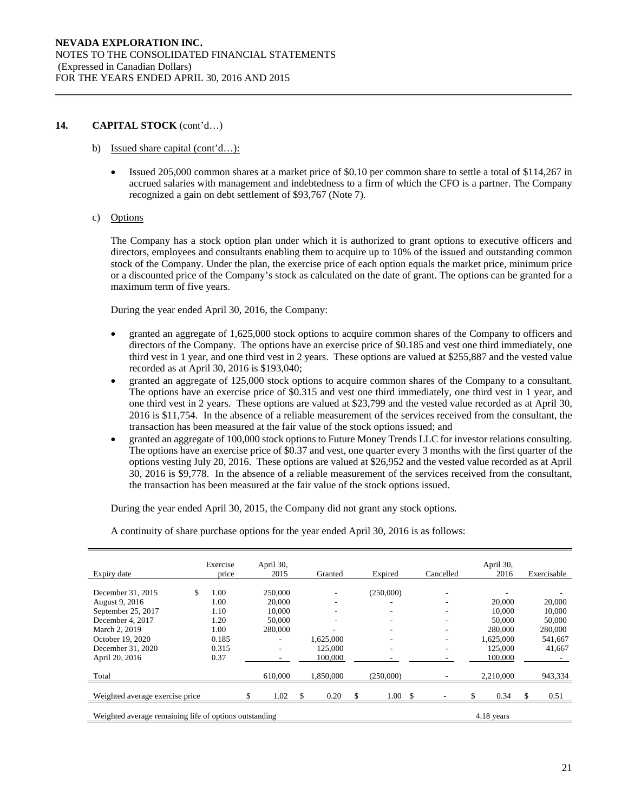## **14. CAPITAL STOCK** (cont'd…)

- b) Issued share capital (cont'd…):
	- Issued 205,000 common shares at a market price of \$0.10 per common share to settle a total of \$114,267 in accrued salaries with management and indebtedness to a firm of which the CFO is a partner. The Company recognized a gain on debt settlement of \$93,767 (Note 7).

#### c) Options

The Company has a stock option plan under which it is authorized to grant options to executive officers and directors, employees and consultants enabling them to acquire up to 10% of the issued and outstanding common stock of the Company. Under the plan, the exercise price of each option equals the market price, minimum price or a discounted price of the Company's stock as calculated on the date of grant. The options can be granted for a maximum term of five years.

During the year ended April 30, 2016, the Company:

- granted an aggregate of 1,625,000 stock options to acquire common shares of the Company to officers and directors of the Company. The options have an exercise price of \$0.185 and vest one third immediately, one third vest in 1 year, and one third vest in 2 years. These options are valued at \$255,887 and the vested value recorded as at April 30, 2016 is \$193,040;
- granted an aggregate of 125,000 stock options to acquire common shares of the Company to a consultant. The options have an exercise price of \$0.315 and vest one third immediately, one third vest in 1 year, and one third vest in 2 years. These options are valued at \$23,799 and the vested value recorded as at April 30, 2016 is \$11,754. In the absence of a reliable measurement of the services received from the consultant, the transaction has been measured at the fair value of the stock options issued; and
- granted an aggregate of 100,000 stock options to Future Money Trends LLC for investor relations consulting. The options have an exercise price of \$0.37 and vest, one quarter every 3 months with the first quarter of the options vesting July 20, 2016. These options are valued at \$26,952 and the vested value recorded as at April 30, 2016 is \$9,778. In the absence of a reliable measurement of the services received from the consultant, the transaction has been measured at the fair value of the stock options issued.

During the year ended April 30, 2015, the Company did not grant any stock options.

A continuity of share purchase options for the year ended April 30, 2016 is as follows:

| Expiry date                                            | Exercise<br>price | April 30,<br>2015 | Granted   | Expired     | Cancelled | April 30,<br>2016 | Exercisable |
|--------------------------------------------------------|-------------------|-------------------|-----------|-------------|-----------|-------------------|-------------|
|                                                        |                   |                   |           |             |           |                   |             |
| \$<br>December 31, 2015                                | 1.00              | 250,000           | ۰         | (250,000)   |           |                   |             |
| August 9, 2016                                         | 1.00              | 20,000            | ۰         |             |           | 20,000            | 20,000      |
| September 25, 2017                                     | 1.10              | 10,000            |           |             |           | 10.000            | 10.000      |
| December 4, 2017                                       | 1.20              | 50,000            |           |             |           | 50,000            | 50,000      |
| March 2, 2019                                          | 1.00              | 280,000           |           |             |           | 280,000           | 280,000     |
| October 19, 2020                                       | 0.185             |                   | 1,625,000 |             |           | 1,625,000         | 541,667     |
| December 31, 2020                                      | 0.315             |                   | 125,000   |             |           | 125,000           | 41,667      |
| April 20, 2016                                         | 0.37              |                   | 100,000   |             |           | 100,000           |             |
|                                                        |                   |                   |           |             |           |                   |             |
| Total                                                  |                   | 610,000           | 1,850,000 | (250,000)   |           | 2,210,000         | 943,334     |
|                                                        |                   |                   |           |             |           |                   |             |
| Weighted average exercise price                        |                   | 1.02              | 0.20      | \$<br>1.00S |           | 0.34              | 0.51        |
| Weighted average remaining life of options outstanding |                   |                   |           |             |           | 4.18 years        |             |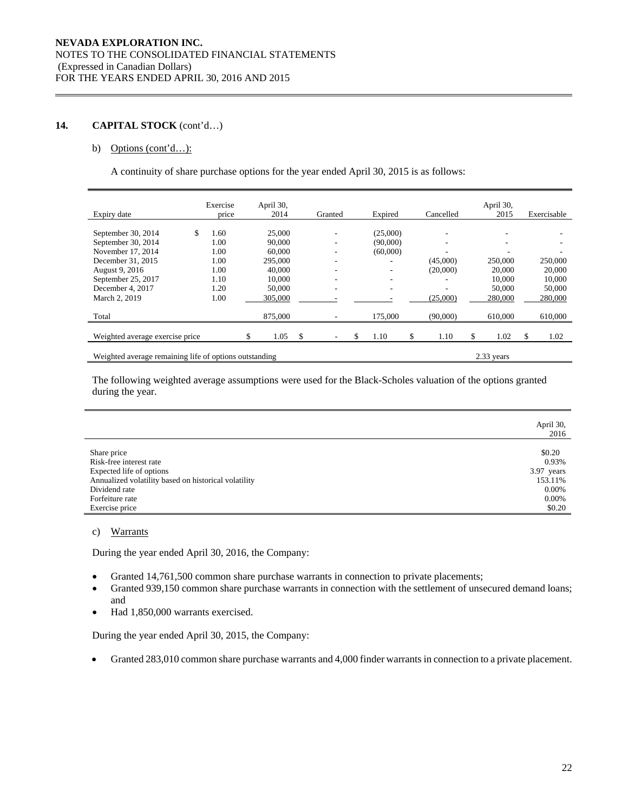# **14. CAPITAL STOCK** (cont'd…)

#### b) Options  $(\text{cont}^{\prime}d...)$ :

A continuity of share purchase options for the year ended April 30, 2015 is as follows:

|                                                        | Exercise | April 30, |               |         |            |                          | April 30,  |    |             |
|--------------------------------------------------------|----------|-----------|---------------|---------|------------|--------------------------|------------|----|-------------|
| Expiry date                                            | price    | 2014      |               | Granted | Expired    | Cancelled                | 2015       |    | Exercisable |
|                                                        |          |           |               |         |            |                          |            |    |             |
| \$<br>September 30, 2014                               | 1.60     | 25,000    |               | ٠       | (25,000)   | ٠                        | ۰          |    |             |
| September 30, 2014                                     | 1.00     | 90,000    |               | ۰       | (90,000)   | ۰                        | -          |    |             |
| November 17, 2014                                      | 1.00     | 60,000    |               | -       | (60,000)   | $\sim$                   |            |    |             |
| December 31, 2015                                      | 1.00     | 295,000   |               | -       |            | (45,000)                 | 250,000    |    | 250,000     |
| August 9, 2016                                         | 1.00     | 40,000    |               | -       |            | (20,000)                 | 20,000     |    | 20,000      |
| September 25, 2017                                     | 1.10     | 10,000    |               | -       |            |                          | 10,000     |    | 10,000      |
| December 4, 2017                                       | 1.20     | 50,000    |               | -       |            | $\overline{\phantom{a}}$ | 50,000     |    | 50,000      |
| March 2, 2019                                          | 1.00     | 305,000   |               |         |            | (25,000)                 | 280,000    |    | 280,000     |
|                                                        |          |           |               |         |            |                          |            |    |             |
| Total                                                  |          | 875,000   |               |         | 175,000    | (90,000)                 | 610,000    |    | 610,000     |
|                                                        |          |           |               |         |            |                          |            |    |             |
| Weighted average exercise price                        |          | 1.05      | <sup>\$</sup> |         | \$<br>1.10 | \$<br>1.10               | \$<br>1.02 | S. | 1.02        |
|                                                        |          |           |               |         |            |                          |            |    |             |
| Weighted average remaining life of options outstanding |          |           |               |         |            |                          | 2.33 years |    |             |

The following weighted average assumptions were used for the Black-Scholes valuation of the options granted during the year.

|                                                      | April 30,<br>2016 |
|------------------------------------------------------|-------------------|
| Share price                                          | \$0.20            |
| Risk-free interest rate                              | 0.93%             |
| Expected life of options                             | 3.97 years        |
| Annualized volatility based on historical volatility | 153.11%           |
| Dividend rate                                        | $0.00\%$          |
| Forfeiture rate                                      | $0.00\%$          |
| Exercise price                                       | \$0.20            |

c) Warrants

During the year ended April 30, 2016, the Company:

- Granted 14,761,500 common share purchase warrants in connection to private placements;
- Granted 939,150 common share purchase warrants in connection with the settlement of unsecured demand loans; and
- Had 1,850,000 warrants exercised.

During the year ended April 30, 2015, the Company:

Granted 283,010 common share purchase warrants and 4,000 finder warrants in connection to a private placement.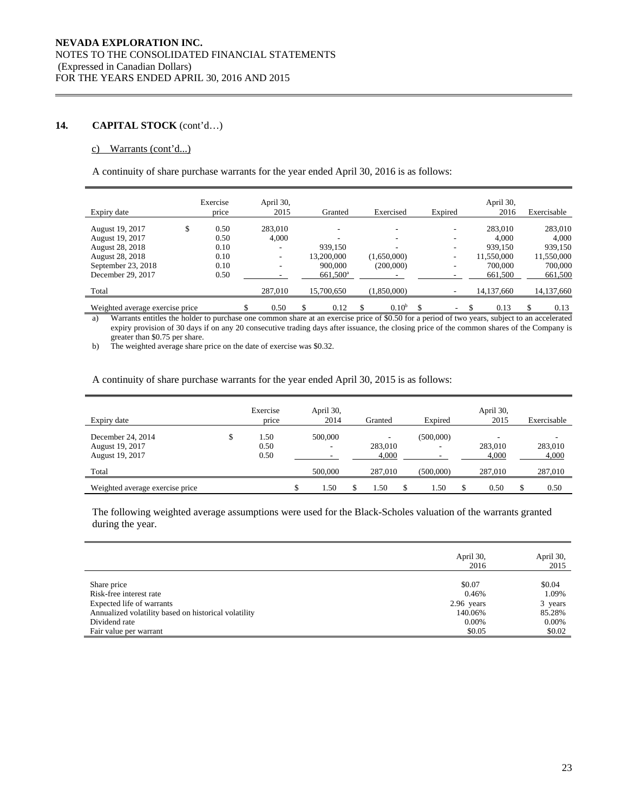# **14. CAPITAL STOCK** (cont'd…)

Ĭ.

## c) Warrants (cont'd...)

A continuity of share purchase warrants for the year ended April 30, 2016 is as follows:

| Expiry date                     |   | Exercise<br>price | April 30,<br>2015 | Granted              | Exercised   | Expired                  | April 30,<br>2016 | Exercisable |
|---------------------------------|---|-------------------|-------------------|----------------------|-------------|--------------------------|-------------------|-------------|
| August 19, 2017                 | S | 0.50              | 283,010           |                      |             | $\overline{\phantom{a}}$ | 283,010           | 283,010     |
| August 19, 2017                 |   | 0.50              | 4.000             | -                    |             |                          | 4.000             | 4,000       |
| August 28, 2018                 |   | 0.10              | -                 | 939.150              |             |                          | 939.150           | 939.150     |
| August 28, 2018                 |   | 0.10              | ۰                 | 13.200.000           | (1,650,000) | $\overline{\phantom{a}}$ | 11.550,000        | 11,550,000  |
| September 23, 2018              |   | 0.10              |                   | 900,000              | (200,000)   |                          | 700,000           | 700,000     |
| December 29, 2017               |   | 0.50              |                   | 661,500 <sup>a</sup> |             |                          | 661,500           | 661,500     |
| Total                           |   |                   | 287,010           | 15,700,650           | (1,850,000) |                          | 14.137.660        | 14,137,660  |
| Weighted average exercise price |   |                   | 0.50              | 0.12                 | $0.10^{b}$  | ۰                        | 0.13              | 0.13        |

a) Warrants entitles the holder to purchase one common share at an exercise price of \$0.50 for a period of two years, subject to an accelerated expiry provision of 30 days if on any 20 consecutive trading days after issuance, the closing price of the common shares of the Company is greater than \$0.75 per share.

b) The weighted average share price on the date of exercise was \$0.32.

A continuity of share purchase warrants for the year ended April 30, 2015 is as follows:

| Expiry date                                             | Exercise<br>price          | April 30,<br>2014 | Granted                                      | Expired   |   | April 30,<br>2015     | Exercisable           |
|---------------------------------------------------------|----------------------------|-------------------|----------------------------------------------|-----------|---|-----------------------|-----------------------|
| December 24, 2014<br>August 19, 2017<br>August 19, 2017 | \$<br>1.50<br>0.50<br>0.50 | 500,000           | $\overline{\phantom{a}}$<br>283,010<br>4,000 | (500,000) |   | -<br>283,010<br>4,000 | ۰<br>283,010<br>4,000 |
| Total                                                   |                            | 500,000           | 287,010                                      | (500,000) |   | 287,010               | 287,010               |
| Weighted average exercise price                         |                            | .50               | .50                                          | 1.50      | S | 0.50                  | 0.50                  |

The following weighted average assumptions were used for the Black-Scholes valuation of the warrants granted during the year.

|                                                                       | April 30,<br>2016   | April 30,<br>2015  |
|-----------------------------------------------------------------------|---------------------|--------------------|
| Share price                                                           | \$0.07              | \$0.04             |
| Risk-free interest rate<br>Expected life of warrants                  | 0.46%<br>2.96 years | 1.09%<br>3 years   |
| Annualized volatility based on historical volatility<br>Dividend rate | 140.06%<br>0.00%    | 85.28%<br>$0.00\%$ |
| Fair value per warrant                                                | \$0.05              | \$0.02             |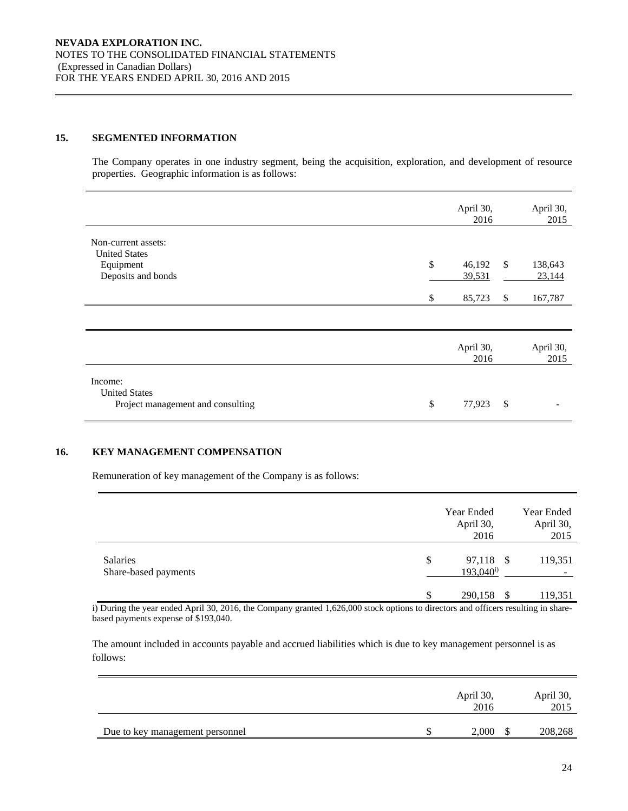## **15. SEGMENTED INFORMATION**

The Company operates in one industry segment, being the acquisition, exploration, and development of resource properties. Geographic information is as follows:

|                                                                                |    | April 30,<br>2016 |               | April 30,<br>2015 |
|--------------------------------------------------------------------------------|----|-------------------|---------------|-------------------|
| Non-current assets:<br><b>United States</b><br>Equipment<br>Deposits and bonds | \$ | 46,192<br>39,531  | $\mathcal{S}$ | 138,643<br>23,144 |
|                                                                                | S  | 85,723            | \$            | 167,787           |
|                                                                                |    |                   |               |                   |
|                                                                                |    | April 30,<br>2016 |               | April 30,<br>2015 |
| Income:<br><b>United States</b><br>Project management and consulting           | \$ | 77,923            | \$            |                   |

## **16. KEY MANAGEMENT COMPENSATION**

Remuneration of key management of the Company is as follows:

|                                  |    | Year Ended<br>April 30,<br>2016     |      | Year Ended<br>April 30,<br>2015 |
|----------------------------------|----|-------------------------------------|------|---------------------------------|
| Salaries<br>Share-based payments | \$ | 97,118 \$<br>$193,040$ <sup>i</sup> |      | 119,351                         |
|                                  | S  | 290,158                             | - \$ | 119,351                         |

i) During the year ended April 30, 2016, the Company granted 1,626,000 stock options to directors and officers resulting in sharebased payments expense of \$193,040.

The amount included in accounts payable and accrued liabilities which is due to key management personnel is as follows:

|                                 | April 30,<br>2016 | April 30,<br>2015 |
|---------------------------------|-------------------|-------------------|
| Due to key management personnel | 2.000             | 208,268           |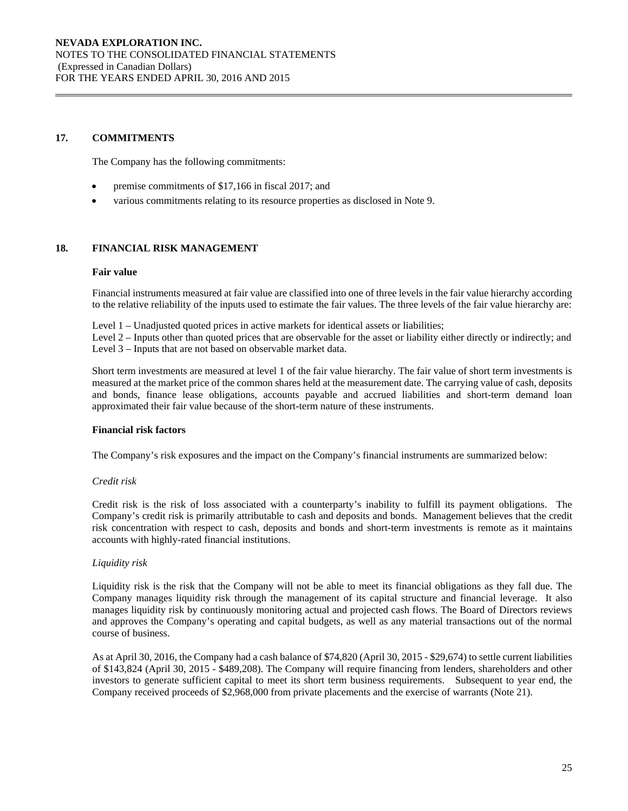## **17. COMMITMENTS**

The Company has the following commitments:

- premise commitments of \$17,166 in fiscal 2017; and
- various commitments relating to its resource properties as disclosed in Note 9.

## **18. FINANCIAL RISK MANAGEMENT**

#### **Fair value**

Financial instruments measured at fair value are classified into one of three levels in the fair value hierarchy according to the relative reliability of the inputs used to estimate the fair values. The three levels of the fair value hierarchy are:

Level 1 – Unadjusted quoted prices in active markets for identical assets or liabilities;

Level 2 – Inputs other than quoted prices that are observable for the asset or liability either directly or indirectly; and Level 3 – Inputs that are not based on observable market data.

Short term investments are measured at level 1 of the fair value hierarchy. The fair value of short term investments is measured at the market price of the common shares held at the measurement date. The carrying value of cash, deposits and bonds, finance lease obligations, accounts payable and accrued liabilities and short-term demand loan approximated their fair value because of the short-term nature of these instruments.

## **Financial risk factors**

The Company's risk exposures and the impact on the Company's financial instruments are summarized below:

## *Credit risk*

 Credit risk is the risk of loss associated with a counterparty's inability to fulfill its payment obligations. The Company's credit risk is primarily attributable to cash and deposits and bonds. Management believes that the credit risk concentration with respect to cash, deposits and bonds and short-term investments is remote as it maintains accounts with highly-rated financial institutions.

## *Liquidity risk*

Liquidity risk is the risk that the Company will not be able to meet its financial obligations as they fall due. The Company manages liquidity risk through the management of its capital structure and financial leverage. It also manages liquidity risk by continuously monitoring actual and projected cash flows. The Board of Directors reviews and approves the Company's operating and capital budgets, as well as any material transactions out of the normal course of business.

As at April 30, 2016, the Company had a cash balance of \$74,820 (April 30, 2015 - \$29,674) to settle current liabilities of \$143,824 (April 30, 2015 - \$489,208). The Company will require financing from lenders, shareholders and other investors to generate sufficient capital to meet its short term business requirements. Subsequent to year end, the Company received proceeds of \$2,968,000 from private placements and the exercise of warrants (Note 21).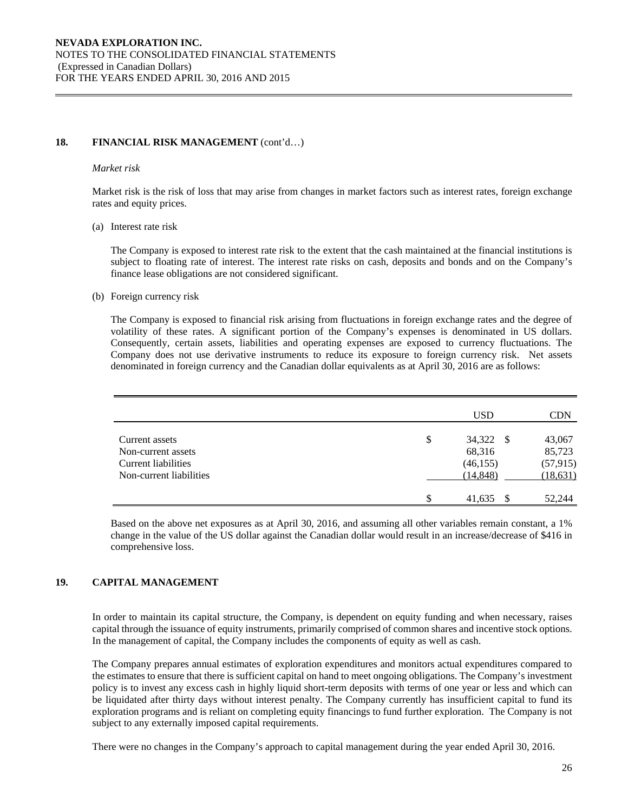## 18. **FINANCIAL RISK MANAGEMENT** (cont'd...)

#### *Market risk*

Market risk is the risk of loss that may arise from changes in market factors such as interest rates, foreign exchange rates and equity prices.

#### (a) Interest rate risk

 The Company is exposed to interest rate risk to the extent that the cash maintained at the financial institutions is subject to floating rate of interest. The interest rate risks on cash, deposits and bonds and on the Company's finance lease obligations are not considered significant.

## (b) Foreign currency risk

The Company is exposed to financial risk arising from fluctuations in foreign exchange rates and the degree of volatility of these rates. A significant portion of the Company's expenses is denominated in US dollars. Consequently, certain assets, liabilities and operating expenses are exposed to currency fluctuations. The Company does not use derivative instruments to reduce its exposure to foreign currency risk. Net assets denominated in foreign currency and the Canadian dollar equivalents as at April 30, 2016 are as follows:

|                         | <b>USD</b>   |    | <b>CDN</b> |
|-------------------------|--------------|----|------------|
| Current assets          | \$<br>34,322 | -S | 43,067     |
| Non-current assets      | 68,316       |    | 85,723     |
| Current liabilities     | (46, 155)    |    | (57, 915)  |
| Non-current liabilities | (14, 848)    |    | (18, 631)  |
|                         | \$<br>41,635 |    | 52,244     |

Based on the above net exposures as at April 30, 2016, and assuming all other variables remain constant, a 1% change in the value of the US dollar against the Canadian dollar would result in an increase/decrease of \$416 in comprehensive loss.

# **19. CAPITAL MANAGEMENT**

In order to maintain its capital structure, the Company, is dependent on equity funding and when necessary, raises capital through the issuance of equity instruments, primarily comprised of common shares and incentive stock options. In the management of capital, the Company includes the components of equity as well as cash.

The Company prepares annual estimates of exploration expenditures and monitors actual expenditures compared to the estimates to ensure that there is sufficient capital on hand to meet ongoing obligations. The Company's investment policy is to invest any excess cash in highly liquid short-term deposits with terms of one year or less and which can be liquidated after thirty days without interest penalty. The Company currently has insufficient capital to fund its exploration programs and is reliant on completing equity financings to fund further exploration. The Company is not subject to any externally imposed capital requirements.

There were no changes in the Company's approach to capital management during the year ended April 30, 2016.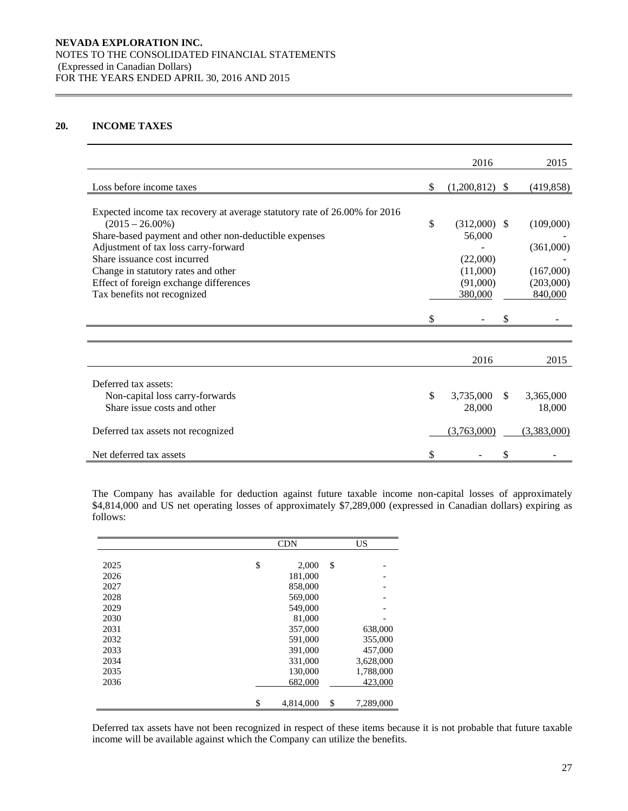# **20. INCOME TAXES**

|                                                                           |    | 2016             |               | 2015        |
|---------------------------------------------------------------------------|----|------------------|---------------|-------------|
|                                                                           |    |                  |               |             |
| Loss before income taxes                                                  | S. | $(1,200,812)$ \$ |               | (419, 858)  |
|                                                                           |    |                  |               |             |
| Expected income tax recovery at average statutory rate of 26.00% for 2016 |    |                  |               |             |
| $(2015 - 26.00\%)$                                                        | \$ | $(312,000)$ \$   |               | (109,000)   |
| Share-based payment and other non-deductible expenses                     |    | 56,000           |               |             |
| Adjustment of tax loss carry-forward<br>Share issuance cost incurred      |    | (22,000)         |               | (361,000)   |
| Change in statutory rates and other                                       |    | (11,000)         |               | (167,000)   |
| Effect of foreign exchange differences                                    |    | (91,000)         |               | (203,000)   |
| Tax benefits not recognized                                               |    | 380,000          |               | 840,000     |
|                                                                           |    |                  |               |             |
|                                                                           | S  |                  |               |             |
|                                                                           |    |                  |               |             |
|                                                                           |    |                  |               |             |
|                                                                           |    | 2016             |               | 2015        |
|                                                                           |    |                  |               |             |
| Deferred tax assets:                                                      |    |                  |               |             |
| Non-capital loss carry-forwards                                           | \$ | 3,735,000        | <sup>\$</sup> | 3,365,000   |
| Share issue costs and other                                               |    | 28,000           |               | 18,000      |
| Deferred tax assets not recognized                                        |    | (3,763,000)      |               | (3,383,000) |
|                                                                           |    |                  |               |             |
| Net deferred tax assets                                                   | \$ |                  | S             |             |

 The Company has available for deduction against future taxable income non-capital losses of approximately \$4,814,000 and US net operating losses of approximately \$7,289,000 (expressed in Canadian dollars) expiring as follows:

|      | <b>CDN</b>      |             | <b>US</b> |  |  |  |
|------|-----------------|-------------|-----------|--|--|--|
|      |                 |             |           |  |  |  |
| 2025 | \$              | \$<br>2.000 |           |  |  |  |
| 2026 |                 | 181,000     |           |  |  |  |
| 2027 |                 | 858,000     |           |  |  |  |
| 2028 |                 | 569,000     |           |  |  |  |
| 2029 |                 | 549,000     |           |  |  |  |
| 2030 |                 | 81,000      |           |  |  |  |
| 2031 |                 | 357,000     | 638,000   |  |  |  |
| 2032 |                 | 591,000     | 355,000   |  |  |  |
| 2033 |                 | 391,000     | 457,000   |  |  |  |
| 2034 |                 | 331,000     | 3,628,000 |  |  |  |
| 2035 |                 | 130,000     | 1,788,000 |  |  |  |
| 2036 |                 | 682,000     | 423,000   |  |  |  |
|      |                 |             |           |  |  |  |
|      | \$<br>4,814,000 | \$          | 7,289,000 |  |  |  |

Deferred tax assets have not been recognized in respect of these items because it is not probable that future taxable income will be available against which the Company can utilize the benefits.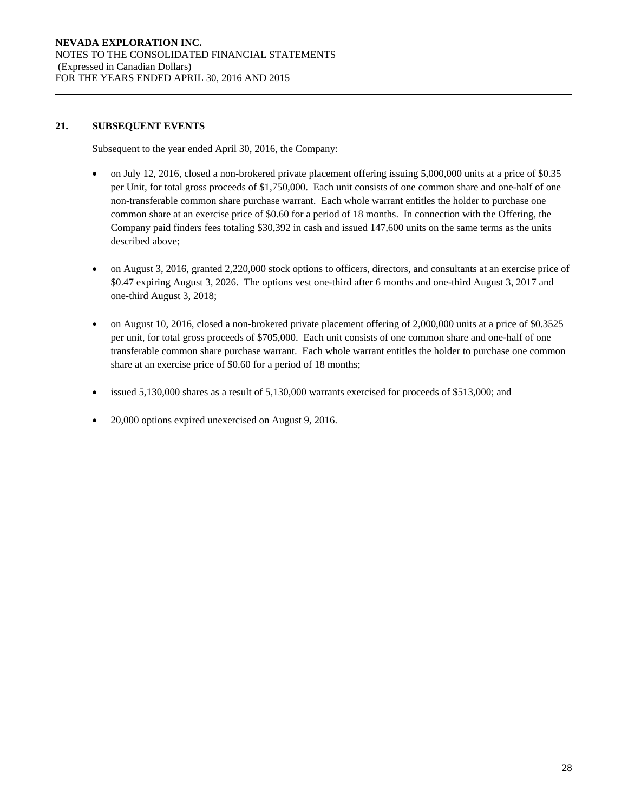# **21. SUBSEQUENT EVENTS**

Subsequent to the year ended April 30, 2016, the Company:

- on July 12, 2016, closed a non-brokered private placement offering issuing 5,000,000 units at a price of \$0.35 per Unit, for total gross proceeds of \$1,750,000. Each unit consists of one common share and one-half of one non-transferable common share purchase warrant. Each whole warrant entitles the holder to purchase one common share at an exercise price of \$0.60 for a period of 18 months. In connection with the Offering, the Company paid finders fees totaling \$30,392 in cash and issued 147,600 units on the same terms as the units described above;
- on August 3, 2016, granted 2,220,000 stock options to officers, directors, and consultants at an exercise price of \$0.47 expiring August 3, 2026. The options vest one-third after 6 months and one-third August 3, 2017 and one-third August 3, 2018;
- on August 10, 2016, closed a non-brokered private placement offering of 2,000,000 units at a price of \$0.3525 per unit, for total gross proceeds of \$705,000. Each unit consists of one common share and one-half of one transferable common share purchase warrant. Each whole warrant entitles the holder to purchase one common share at an exercise price of \$0.60 for a period of 18 months;
- issued 5,130,000 shares as a result of 5,130,000 warrants exercised for proceeds of \$513,000; and
- 20,000 options expired unexercised on August 9, 2016.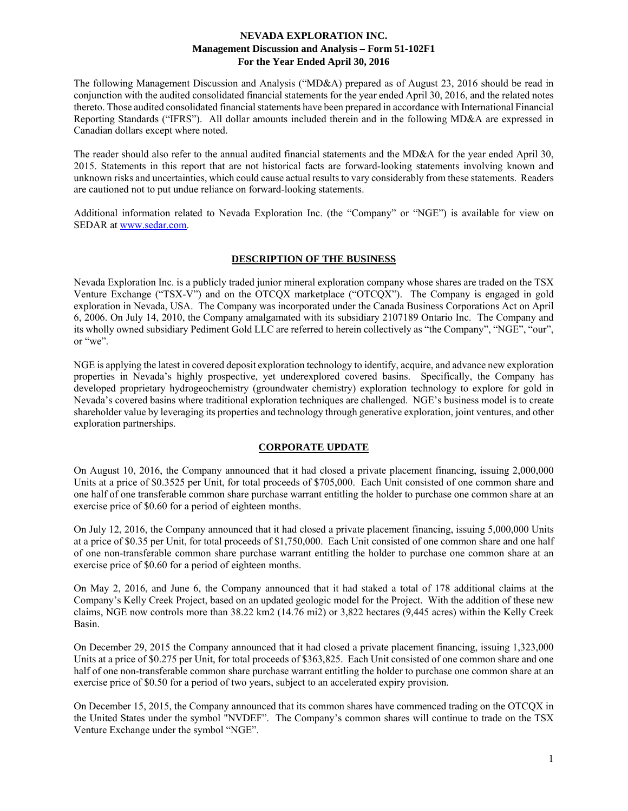The following Management Discussion and Analysis ("MD&A) prepared as of August 23, 2016 should be read in conjunction with the audited consolidated financial statements for the year ended April 30, 2016, and the related notes thereto. Those audited consolidated financial statements have been prepared in accordance with International Financial Reporting Standards ("IFRS"). All dollar amounts included therein and in the following MD&A are expressed in Canadian dollars except where noted.

The reader should also refer to the annual audited financial statements and the MD&A for the year ended April 30, 2015. Statements in this report that are not historical facts are forward-looking statements involving known and unknown risks and uncertainties, which could cause actual results to vary considerably from these statements. Readers are cautioned not to put undue reliance on forward-looking statements.

Additional information related to Nevada Exploration Inc. (the "Company" or "NGE") is available for view on SEDAR at www.sedar.com.

## **DESCRIPTION OF THE BUSINESS**

Nevada Exploration Inc. is a publicly traded junior mineral exploration company whose shares are traded on the TSX Venture Exchange ("TSX-V") and on the OTCQX marketplace ("OTCQX"). The Company is engaged in gold exploration in Nevada, USA. The Company was incorporated under the Canada Business Corporations Act on April 6, 2006. On July 14, 2010, the Company amalgamated with its subsidiary 2107189 Ontario Inc. The Company and its wholly owned subsidiary Pediment Gold LLC are referred to herein collectively as "the Company", "NGE", "our", or "we".

NGE is applying the latest in covered deposit exploration technology to identify, acquire, and advance new exploration properties in Nevada's highly prospective, yet underexplored covered basins. Specifically, the Company has developed proprietary hydrogeochemistry (groundwater chemistry) exploration technology to explore for gold in Nevada's covered basins where traditional exploration techniques are challenged. NGE's business model is to create shareholder value by leveraging its properties and technology through generative exploration, joint ventures, and other exploration partnerships.

## **CORPORATE UPDATE**

On August 10, 2016, the Company announced that it had closed a private placement financing, issuing 2,000,000 Units at a price of \$0.3525 per Unit, for total proceeds of \$705,000. Each Unit consisted of one common share and one half of one transferable common share purchase warrant entitling the holder to purchase one common share at an exercise price of \$0.60 for a period of eighteen months.

On July 12, 2016, the Company announced that it had closed a private placement financing, issuing 5,000,000 Units at a price of \$0.35 per Unit, for total proceeds of \$1,750,000. Each Unit consisted of one common share and one half of one non-transferable common share purchase warrant entitling the holder to purchase one common share at an exercise price of \$0.60 for a period of eighteen months.

On May 2, 2016, and June 6, the Company announced that it had staked a total of 178 additional claims at the Company's Kelly Creek Project, based on an updated geologic model for the Project. With the addition of these new claims, NGE now controls more than 38.22 km2 (14.76 mi2) or 3,822 hectares (9,445 acres) within the Kelly Creek Basin.

On December 29, 2015 the Company announced that it had closed a private placement financing, issuing 1,323,000 Units at a price of \$0.275 per Unit, for total proceeds of \$363,825. Each Unit consisted of one common share and one half of one non-transferable common share purchase warrant entitling the holder to purchase one common share at an exercise price of \$0.50 for a period of two years, subject to an accelerated expiry provision.

On December 15, 2015, the Company announced that its common shares have commenced trading on the OTCQX in the United States under the symbol "NVDEF". The Company's common shares will continue to trade on the TSX Venture Exchange under the symbol "NGE".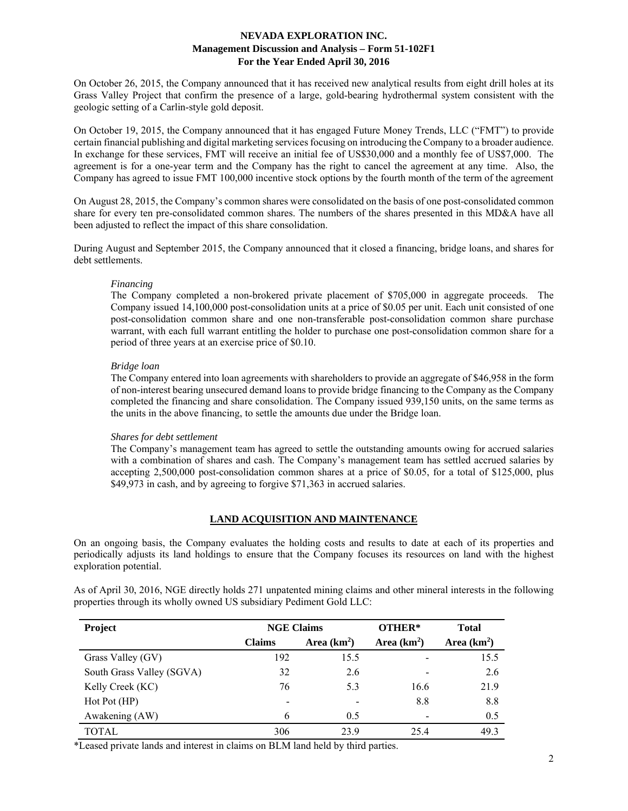On October 26, 2015, the Company announced that it has received new analytical results from eight drill holes at its Grass Valley Project that confirm the presence of a large, gold-bearing hydrothermal system consistent with the geologic setting of a Carlin-style gold deposit.

On October 19, 2015, the Company announced that it has engaged Future Money Trends, LLC ("FMT") to provide certain financial publishing and digital marketing services focusing on introducing the Company to a broader audience. In exchange for these services, FMT will receive an initial fee of US\$30,000 and a monthly fee of US\$7,000. The agreement is for a one-year term and the Company has the right to cancel the agreement at any time. Also, the Company has agreed to issue FMT 100,000 incentive stock options by the fourth month of the term of the agreement

On August 28, 2015, the Company's common shares were consolidated on the basis of one post-consolidated common share for every ten pre-consolidated common shares. The numbers of the shares presented in this MD&A have all been adjusted to reflect the impact of this share consolidation.

During August and September 2015, the Company announced that it closed a financing, bridge loans, and shares for debt settlements.

## *Financing*

The Company completed a non-brokered private placement of \$705,000 in aggregate proceeds. The Company issued 14,100,000 post-consolidation units at a price of \$0.05 per unit. Each unit consisted of one post-consolidation common share and one non-transferable post-consolidation common share purchase warrant, with each full warrant entitling the holder to purchase one post-consolidation common share for a period of three years at an exercise price of \$0.10.

#### *Bridge loan*

The Company entered into loan agreements with shareholders to provide an aggregate of \$46,958 in the form of non-interest bearing unsecured demand loans to provide bridge financing to the Company as the Company completed the financing and share consolidation. The Company issued 939,150 units, on the same terms as the units in the above financing, to settle the amounts due under the Bridge loan.

## *Shares for debt settlement*

The Company's management team has agreed to settle the outstanding amounts owing for accrued salaries with a combination of shares and cash. The Company's management team has settled accrued salaries by accepting 2,500,000 post-consolidation common shares at a price of \$0.05, for a total of \$125,000, plus \$49,973 in cash, and by agreeing to forgive \$71,363 in accrued salaries.

## **LAND ACQUISITION AND MAINTENANCE**

On an ongoing basis, the Company evaluates the holding costs and results to date at each of its properties and periodically adjusts its land holdings to ensure that the Company focuses its resources on land with the highest exploration potential.

As of April 30, 2016, NGE directly holds 271 unpatented mining claims and other mineral interests in the following properties through its wholly owned US subsidiary Pediment Gold LLC:

| Project                   | <b>NGE Claims</b>             |      | OTHER*       | <b>Total</b> |
|---------------------------|-------------------------------|------|--------------|--------------|
|                           | Area $(km2)$<br><b>Claims</b> |      | Area $(km2)$ | Area $(km2)$ |
| Grass Valley (GV)         | 192                           | 15.5 |              | 15.5         |
| South Grass Valley (SGVA) | 32                            | 2.6  |              | 2.6          |
| Kelly Creek (KC)          | 76                            | 5.3  | 16.6         | 21.9         |
| Hot Pot (HP)              |                               |      | 8.8          | 8.8          |
| Awakening (AW)            | 6                             | 0.5  |              | 0.5          |
| <b>TOTAL</b>              | 306                           | 23.9 | 25.4         | 49.3         |

\*Leased private lands and interest in claims on BLM land held by third parties.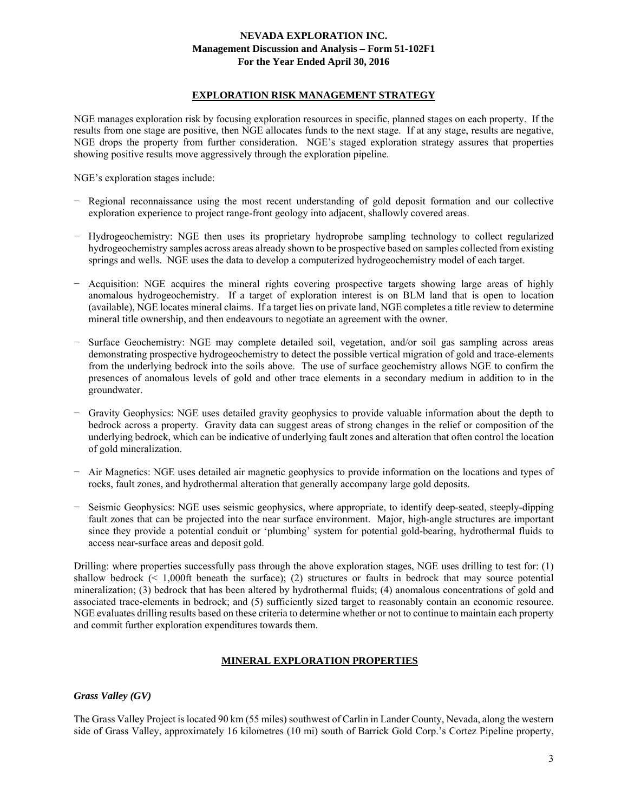## **EXPLORATION RISK MANAGEMENT STRATEGY**

NGE manages exploration risk by focusing exploration resources in specific, planned stages on each property. If the results from one stage are positive, then NGE allocates funds to the next stage. If at any stage, results are negative, NGE drops the property from further consideration. NGE's staged exploration strategy assures that properties showing positive results move aggressively through the exploration pipeline.

NGE's exploration stages include:

- Regional reconnaissance using the most recent understanding of gold deposit formation and our collective exploration experience to project range-front geology into adjacent, shallowly covered areas.
- − Hydrogeochemistry: NGE then uses its proprietary hydroprobe sampling technology to collect regularized hydrogeochemistry samples across areas already shown to be prospective based on samples collected from existing springs and wells. NGE uses the data to develop a computerized hydrogeochemistry model of each target.
- − Acquisition: NGE acquires the mineral rights covering prospective targets showing large areas of highly anomalous hydrogeochemistry. If a target of exploration interest is on BLM land that is open to location (available), NGE locates mineral claims. If a target lies on private land, NGE completes a title review to determine mineral title ownership, and then endeavours to negotiate an agreement with the owner.
- − Surface Geochemistry: NGE may complete detailed soil, vegetation, and/or soil gas sampling across areas demonstrating prospective hydrogeochemistry to detect the possible vertical migration of gold and trace-elements from the underlying bedrock into the soils above. The use of surface geochemistry allows NGE to confirm the presences of anomalous levels of gold and other trace elements in a secondary medium in addition to in the groundwater.
- − Gravity Geophysics: NGE uses detailed gravity geophysics to provide valuable information about the depth to bedrock across a property. Gravity data can suggest areas of strong changes in the relief or composition of the underlying bedrock, which can be indicative of underlying fault zones and alteration that often control the location of gold mineralization.
- − Air Magnetics: NGE uses detailed air magnetic geophysics to provide information on the locations and types of rocks, fault zones, and hydrothermal alteration that generally accompany large gold deposits.
- − Seismic Geophysics: NGE uses seismic geophysics, where appropriate, to identify deep-seated, steeply-dipping fault zones that can be projected into the near surface environment. Major, high-angle structures are important since they provide a potential conduit or 'plumbing' system for potential gold-bearing, hydrothermal fluids to access near-surface areas and deposit gold.

Drilling: where properties successfully pass through the above exploration stages, NGE uses drilling to test for: (1) shallow bedrock (< 1,000ft beneath the surface); (2) structures or faults in bedrock that may source potential mineralization; (3) bedrock that has been altered by hydrothermal fluids; (4) anomalous concentrations of gold and associated trace-elements in bedrock; and (5) sufficiently sized target to reasonably contain an economic resource. NGE evaluates drilling results based on these criteria to determine whether or not to continue to maintain each property and commit further exploration expenditures towards them.

## **MINERAL EXPLORATION PROPERTIES**

## *Grass Valley (GV)*

The Grass Valley Project is located 90 km (55 miles) southwest of Carlin in Lander County, Nevada, along the western side of Grass Valley, approximately 16 kilometres (10 mi) south of Barrick Gold Corp.'s Cortez Pipeline property,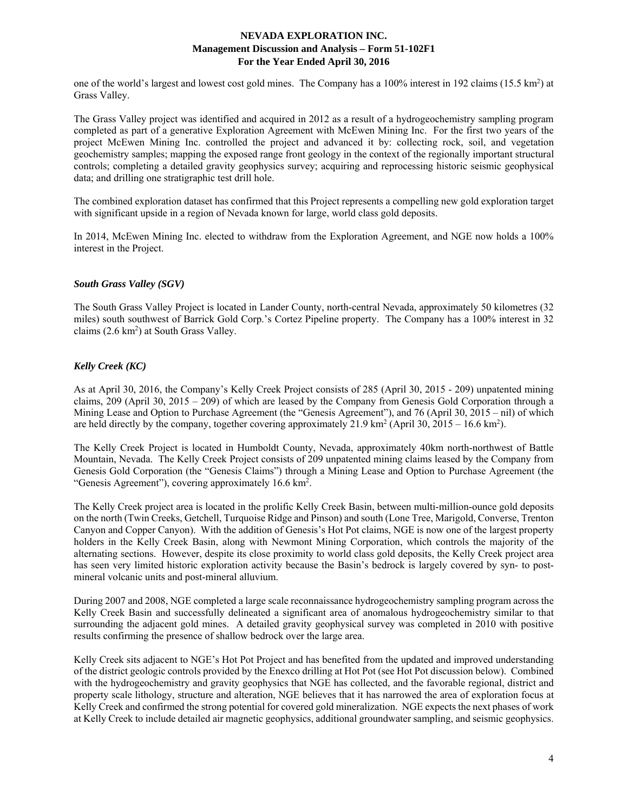one of the world's largest and lowest cost gold mines. The Company has a 100% interest in 192 claims (15.5 km<sup>2</sup>) at Grass Valley.

The Grass Valley project was identified and acquired in 2012 as a result of a hydrogeochemistry sampling program completed as part of a generative Exploration Agreement with McEwen Mining Inc. For the first two years of the project McEwen Mining Inc. controlled the project and advanced it by: collecting rock, soil, and vegetation geochemistry samples; mapping the exposed range front geology in the context of the regionally important structural controls; completing a detailed gravity geophysics survey; acquiring and reprocessing historic seismic geophysical data; and drilling one stratigraphic test drill hole.

The combined exploration dataset has confirmed that this Project represents a compelling new gold exploration target with significant upside in a region of Nevada known for large, world class gold deposits.

In 2014, McEwen Mining Inc. elected to withdraw from the Exploration Agreement, and NGE now holds a 100% interest in the Project.

#### *South Grass Valley (SGV)*

The South Grass Valley Project is located in Lander County, north-central Nevada, approximately 50 kilometres (32 miles) south southwest of Barrick Gold Corp.'s Cortez Pipeline property. The Company has a 100% interest in 32 claims (2.6 km<sup>2</sup>) at South Grass Valley.

## *Kelly Creek (KC)*

As at April 30, 2016, the Company's Kelly Creek Project consists of 285 (April 30, 2015 - 209) unpatented mining claims, 209 (April 30, 2015 – 209) of which are leased by the Company from Genesis Gold Corporation through a Mining Lease and Option to Purchase Agreement (the "Genesis Agreement"), and 76 (April 30, 2015 – nil) of which are held directly by the company, together covering approximately  $21.9 \text{ km}^2$  (April 30,  $2015 - 16.6 \text{ km}^2$ ).

The Kelly Creek Project is located in Humboldt County, Nevada, approximately 40km north-northwest of Battle Mountain, Nevada. The Kelly Creek Project consists of 209 unpatented mining claims leased by the Company from Genesis Gold Corporation (the "Genesis Claims") through a Mining Lease and Option to Purchase Agreement (the "Genesis Agreement"), covering approximately 16.6 km<sup>2</sup>.

The Kelly Creek project area is located in the prolific Kelly Creek Basin, between multi-million-ounce gold deposits on the north (Twin Creeks, Getchell, Turquoise Ridge and Pinson) and south (Lone Tree, Marigold, Converse, Trenton Canyon and Copper Canyon). With the addition of Genesis's Hot Pot claims, NGE is now one of the largest property holders in the Kelly Creek Basin, along with Newmont Mining Corporation, which controls the majority of the alternating sections. However, despite its close proximity to world class gold deposits, the Kelly Creek project area has seen very limited historic exploration activity because the Basin's bedrock is largely covered by syn- to postmineral volcanic units and post-mineral alluvium.

During 2007 and 2008, NGE completed a large scale reconnaissance hydrogeochemistry sampling program across the Kelly Creek Basin and successfully delineated a significant area of anomalous hydrogeochemistry similar to that surrounding the adjacent gold mines. A detailed gravity geophysical survey was completed in 2010 with positive results confirming the presence of shallow bedrock over the large area.

Kelly Creek sits adjacent to NGE's Hot Pot Project and has benefited from the updated and improved understanding of the district geologic controls provided by the Enexco drilling at Hot Pot (see Hot Pot discussion below). Combined with the hydrogeochemistry and gravity geophysics that NGE has collected, and the favorable regional, district and property scale lithology, structure and alteration, NGE believes that it has narrowed the area of exploration focus at Kelly Creek and confirmed the strong potential for covered gold mineralization. NGE expects the next phases of work at Kelly Creek to include detailed air magnetic geophysics, additional groundwater sampling, and seismic geophysics.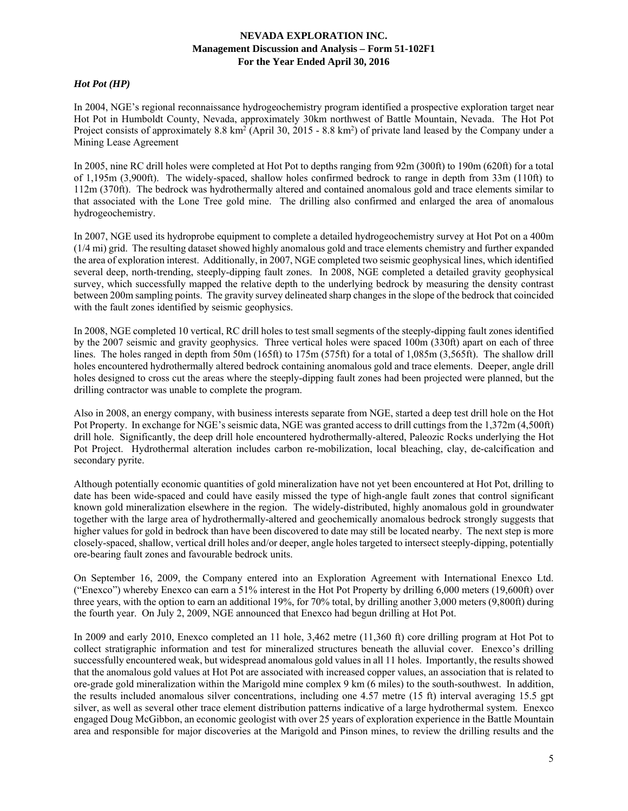## *Hot Pot (HP)*

In 2004, NGE's regional reconnaissance hydrogeochemistry program identified a prospective exploration target near Hot Pot in Humboldt County, Nevada, approximately 30km northwest of Battle Mountain, Nevada. The Hot Pot Project consists of approximately 8.8 km<sup>2</sup> (April 30, 2015 - 8.8 km<sup>2</sup>) of private land leased by the Company under a Mining Lease Agreement

In 2005, nine RC drill holes were completed at Hot Pot to depths ranging from 92m (300ft) to 190m (620ft) for a total of 1,195m (3,900ft). The widely-spaced, shallow holes confirmed bedrock to range in depth from 33m (110ft) to 112m (370ft). The bedrock was hydrothermally altered and contained anomalous gold and trace elements similar to that associated with the Lone Tree gold mine. The drilling also confirmed and enlarged the area of anomalous hydrogeochemistry.

In 2007, NGE used its hydroprobe equipment to complete a detailed hydrogeochemistry survey at Hot Pot on a 400m (1/4 mi) grid. The resulting dataset showed highly anomalous gold and trace elements chemistry and further expanded the area of exploration interest. Additionally, in 2007, NGE completed two seismic geophysical lines, which identified several deep, north-trending, steeply-dipping fault zones. In 2008, NGE completed a detailed gravity geophysical survey, which successfully mapped the relative depth to the underlying bedrock by measuring the density contrast between 200m sampling points. The gravity survey delineated sharp changes in the slope of the bedrock that coincided with the fault zones identified by seismic geophysics.

In 2008, NGE completed 10 vertical, RC drill holes to test small segments of the steeply-dipping fault zones identified by the 2007 seismic and gravity geophysics. Three vertical holes were spaced 100m (330ft) apart on each of three lines. The holes ranged in depth from 50m (165ft) to 175m (575ft) for a total of 1,085m (3,565ft). The shallow drill holes encountered hydrothermally altered bedrock containing anomalous gold and trace elements. Deeper, angle drill holes designed to cross cut the areas where the steeply-dipping fault zones had been projected were planned, but the drilling contractor was unable to complete the program.

Also in 2008, an energy company, with business interests separate from NGE, started a deep test drill hole on the Hot Pot Property. In exchange for NGE's seismic data, NGE was granted access to drill cuttings from the 1,372m (4,500ft) drill hole. Significantly, the deep drill hole encountered hydrothermally-altered, Paleozic Rocks underlying the Hot Pot Project. Hydrothermal alteration includes carbon re-mobilization, local bleaching, clay, de-calcification and secondary pyrite.

Although potentially economic quantities of gold mineralization have not yet been encountered at Hot Pot, drilling to date has been wide-spaced and could have easily missed the type of high-angle fault zones that control significant known gold mineralization elsewhere in the region. The widely-distributed, highly anomalous gold in groundwater together with the large area of hydrothermally-altered and geochemically anomalous bedrock strongly suggests that higher values for gold in bedrock than have been discovered to date may still be located nearby. The next step is more closely-spaced, shallow, vertical drill holes and/or deeper, angle holes targeted to intersect steeply-dipping, potentially ore-bearing fault zones and favourable bedrock units.

On September 16, 2009, the Company entered into an Exploration Agreement with International Enexco Ltd. ("Enexco") whereby Enexco can earn a 51% interest in the Hot Pot Property by drilling 6,000 meters (19,600ft) over three years, with the option to earn an additional 19%, for 70% total, by drilling another 3,000 meters (9,800ft) during the fourth year. On July 2, 2009, NGE announced that Enexco had begun drilling at Hot Pot.

In 2009 and early 2010, Enexco completed an 11 hole, 3,462 metre (11,360 ft) core drilling program at Hot Pot to collect stratigraphic information and test for mineralized structures beneath the alluvial cover. Enexco's drilling successfully encountered weak, but widespread anomalous gold values in all 11 holes. Importantly, the results showed that the anomalous gold values at Hot Pot are associated with increased copper values, an association that is related to ore-grade gold mineralization within the Marigold mine complex 9 km (6 miles) to the south-southwest. In addition, the results included anomalous silver concentrations, including one 4.57 metre (15 ft) interval averaging 15.5 gpt silver, as well as several other trace element distribution patterns indicative of a large hydrothermal system. Enexco engaged Doug McGibbon, an economic geologist with over 25 years of exploration experience in the Battle Mountain area and responsible for major discoveries at the Marigold and Pinson mines, to review the drilling results and the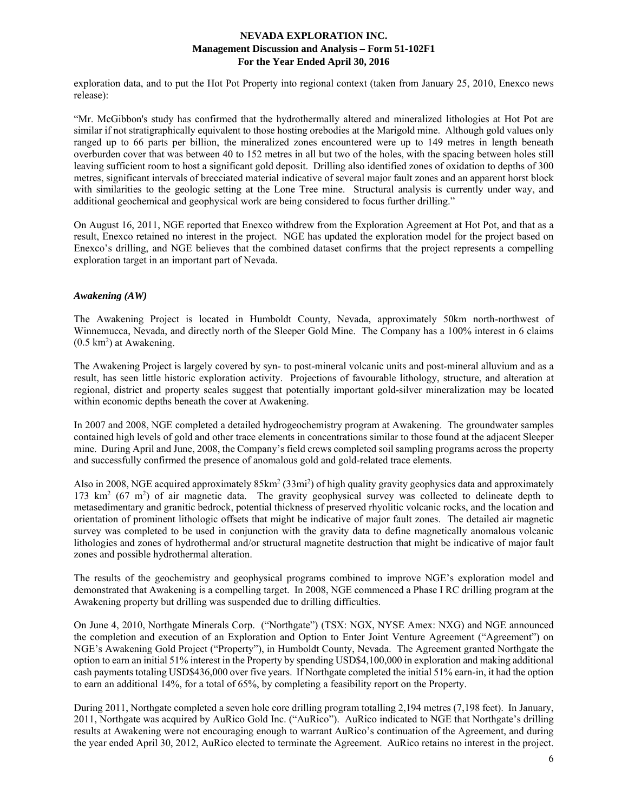exploration data, and to put the Hot Pot Property into regional context (taken from January 25, 2010, Enexco news release):

"Mr. McGibbon's study has confirmed that the hydrothermally altered and mineralized lithologies at Hot Pot are similar if not stratigraphically equivalent to those hosting orebodies at the Marigold mine. Although gold values only ranged up to 66 parts per billion, the mineralized zones encountered were up to 149 metres in length beneath overburden cover that was between 40 to 152 metres in all but two of the holes, with the spacing between holes still leaving sufficient room to host a significant gold deposit. Drilling also identified zones of oxidation to depths of 300 metres, significant intervals of brecciated material indicative of several major fault zones and an apparent horst block with similarities to the geologic setting at the Lone Tree mine. Structural analysis is currently under way, and additional geochemical and geophysical work are being considered to focus further drilling."

On August 16, 2011, NGE reported that Enexco withdrew from the Exploration Agreement at Hot Pot, and that as a result, Enexco retained no interest in the project. NGE has updated the exploration model for the project based on Enexco's drilling, and NGE believes that the combined dataset confirms that the project represents a compelling exploration target in an important part of Nevada.

#### *Awakening (AW)*

The Awakening Project is located in Humboldt County, Nevada, approximately 50km north-northwest of Winnemucca, Nevada, and directly north of the Sleeper Gold Mine. The Company has a 100% interest in 6 claims  $(0.5 \text{ km}^2)$  at Awakening.

The Awakening Project is largely covered by syn- to post-mineral volcanic units and post-mineral alluvium and as a result, has seen little historic exploration activity. Projections of favourable lithology, structure, and alteration at regional, district and property scales suggest that potentially important gold-silver mineralization may be located within economic depths beneath the cover at Awakening.

In 2007 and 2008, NGE completed a detailed hydrogeochemistry program at Awakening. The groundwater samples contained high levels of gold and other trace elements in concentrations similar to those found at the adjacent Sleeper mine. During April and June, 2008, the Company's field crews completed soil sampling programs across the property and successfully confirmed the presence of anomalous gold and gold-related trace elements.

Also in 2008, NGE acquired approximately 85km<sup>2</sup> (33mi<sup>2</sup>) of high quality gravity geophysics data and approximately  $173 \text{ km}^2$  (67 m<sup>2</sup>) of air magnetic data. The gravity geophysical survey was collected to delineate depth to metasedimentary and granitic bedrock, potential thickness of preserved rhyolitic volcanic rocks, and the location and orientation of prominent lithologic offsets that might be indicative of major fault zones. The detailed air magnetic survey was completed to be used in conjunction with the gravity data to define magnetically anomalous volcanic lithologies and zones of hydrothermal and/or structural magnetite destruction that might be indicative of major fault zones and possible hydrothermal alteration.

The results of the geochemistry and geophysical programs combined to improve NGE's exploration model and demonstrated that Awakening is a compelling target. In 2008, NGE commenced a Phase I RC drilling program at the Awakening property but drilling was suspended due to drilling difficulties.

On June 4, 2010, Northgate Minerals Corp. ("Northgate") (TSX: NGX, NYSE Amex: NXG) and NGE announced the completion and execution of an Exploration and Option to Enter Joint Venture Agreement ("Agreement") on NGE's Awakening Gold Project ("Property"), in Humboldt County, Nevada. The Agreement granted Northgate the option to earn an initial 51% interest in the Property by spending USD\$4,100,000 in exploration and making additional cash payments totaling USD\$436,000 over five years. If Northgate completed the initial 51% earn-in, it had the option to earn an additional 14%, for a total of 65%, by completing a feasibility report on the Property.

During 2011, Northgate completed a seven hole core drilling program totalling 2,194 metres (7,198 feet). In January, 2011, Northgate was acquired by AuRico Gold Inc. ("AuRico"). AuRico indicated to NGE that Northgate's drilling results at Awakening were not encouraging enough to warrant AuRico's continuation of the Agreement, and during the year ended April 30, 2012, AuRico elected to terminate the Agreement. AuRico retains no interest in the project.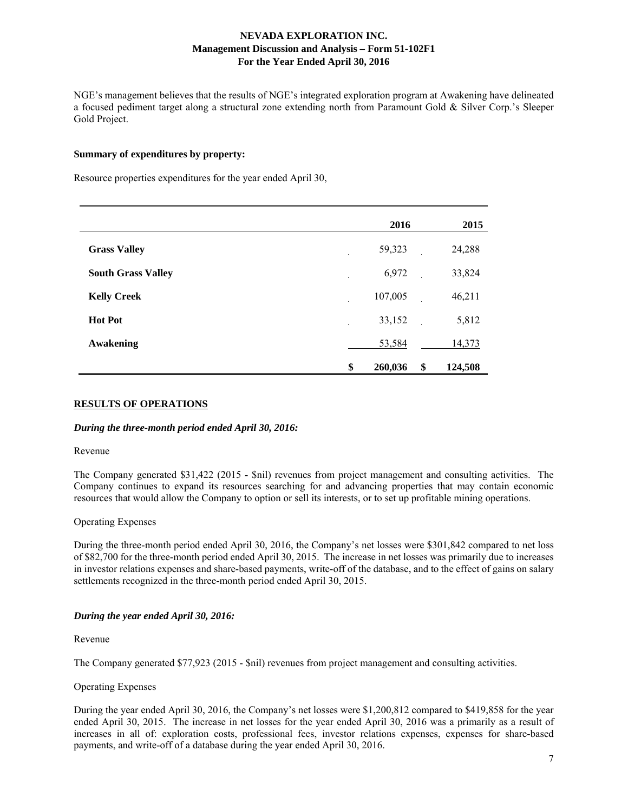NGE's management believes that the results of NGE's integrated exploration program at Awakening have delineated a focused pediment target along a structural zone extending north from Paramount Gold & Silver Corp.'s Sleeper Gold Project.

#### **Summary of expenditures by property:**

Resource properties expenditures for the year ended April 30,

|                           | 2016          | 2015          |
|---------------------------|---------------|---------------|
| <b>Grass Valley</b>       | 59,323        | 24,288        |
| <b>South Grass Valley</b> | 6,972         | 33,824        |
| <b>Kelly Creek</b>        | 107,005       | 46,211        |
| <b>Hot Pot</b>            | 33,152        | 5,812         |
| <b>Awakening</b>          | 53,584        | 14,373        |
|                           | \$<br>260,036 | \$<br>124,508 |

#### **RESULTS OF OPERATIONS**

#### *During the three-month period ended April 30, 2016:*

#### Revenue

The Company generated \$31,422 (2015 - \$nil) revenues from project management and consulting activities. The Company continues to expand its resources searching for and advancing properties that may contain economic resources that would allow the Company to option or sell its interests, or to set up profitable mining operations.

#### Operating Expenses

During the three-month period ended April 30, 2016, the Company's net losses were \$301,842 compared to net loss of \$82,700 for the three-month period ended April 30, 2015. The increase in net losses was primarily due to increases in investor relations expenses and share-based payments, write-off of the database, and to the effect of gains on salary settlements recognized in the three-month period ended April 30, 2015.

#### *During the year ended April 30, 2016:*

Revenue

The Company generated \$77,923 (2015 - \$nil) revenues from project management and consulting activities.

#### Operating Expenses

During the year ended April 30, 2016, the Company's net losses were \$1,200,812 compared to \$419,858 for the year ended April 30, 2015. The increase in net losses for the year ended April 30, 2016 was a primarily as a result of increases in all of: exploration costs, professional fees, investor relations expenses, expenses for share-based payments, and write-off of a database during the year ended April 30, 2016.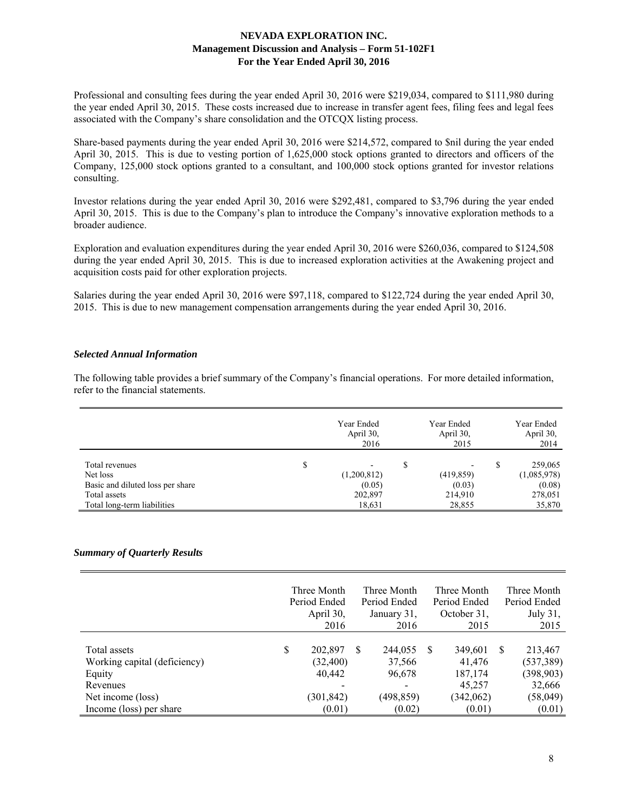Professional and consulting fees during the year ended April 30, 2016 were \$219,034, compared to \$111,980 during the year ended April 30, 2015. These costs increased due to increase in transfer agent fees, filing fees and legal fees associated with the Company's share consolidation and the OTCQX listing process.

Share-based payments during the year ended April 30, 2016 were \$214,572, compared to \$nil during the year ended April 30, 2015. This is due to vesting portion of 1,625,000 stock options granted to directors and officers of the Company, 125,000 stock options granted to a consultant, and 100,000 stock options granted for investor relations consulting.

Investor relations during the year ended April 30, 2016 were \$292,481, compared to \$3,796 during the year ended April 30, 2015. This is due to the Company's plan to introduce the Company's innovative exploration methods to a broader audience.

Exploration and evaluation expenditures during the year ended April 30, 2016 were \$260,036, compared to \$124,508 during the year ended April 30, 2015. This is due to increased exploration activities at the Awakening project and acquisition costs paid for other exploration projects.

Salaries during the year ended April 30, 2016 were \$97,118, compared to \$122,724 during the year ended April 30, 2015. This is due to new management compensation arrangements during the year ended April 30, 2016.

## *Selected Annual Information*

The following table provides a brief summary of the Company's financial operations. For more detailed information, refer to the financial statements.

|                                  | Year Ended<br>April 30,<br>2016 | Year Ended<br>April 30,<br>2015 | Year Ended<br>April 30,<br>2014 |
|----------------------------------|---------------------------------|---------------------------------|---------------------------------|
| Total revenues                   |                                 | \$<br>$\overline{\phantom{0}}$  | 259,065                         |
| Net loss                         | (1,200,812)                     | (419, 859)                      | (1,085,978)                     |
| Basic and diluted loss per share | (0.05)                          | (0.03)                          | (0.08)                          |
| Total assets                     | 202,897                         | 214,910                         | 278,051                         |
| Total long-term liabilities      | 18,631                          | 28,855                          | 35,870                          |

## *Summary of Quarterly Results*

|                                                                                                                    | Three Month<br>Period Ended<br>April 30,<br>2016                  |    | Three Month<br>Period Ended<br>January 31,<br>2016                              |    | Three Month<br>Period Ended<br>October 31,<br>2015            |    | Three Month<br>Period Ended<br>July 31,<br>2015                    |
|--------------------------------------------------------------------------------------------------------------------|-------------------------------------------------------------------|----|---------------------------------------------------------------------------------|----|---------------------------------------------------------------|----|--------------------------------------------------------------------|
| Total assets<br>Working capital (deficiency)<br>Equity<br>Revenues<br>Net income (loss)<br>Income (loss) per share | \$<br>202,897<br>(32, 400)<br>40,442<br>-<br>(301, 842)<br>(0.01) | -S | 244,055<br>37,566<br>96,678<br>$\overline{\phantom{a}}$<br>(498, 859)<br>(0.02) | -S | 349,601<br>41,476<br>187,174<br>45,257<br>(342,062)<br>(0.01) | -8 | 213,467<br>(537,389)<br>(398, 903)<br>32,666<br>(58,049)<br>(0.01) |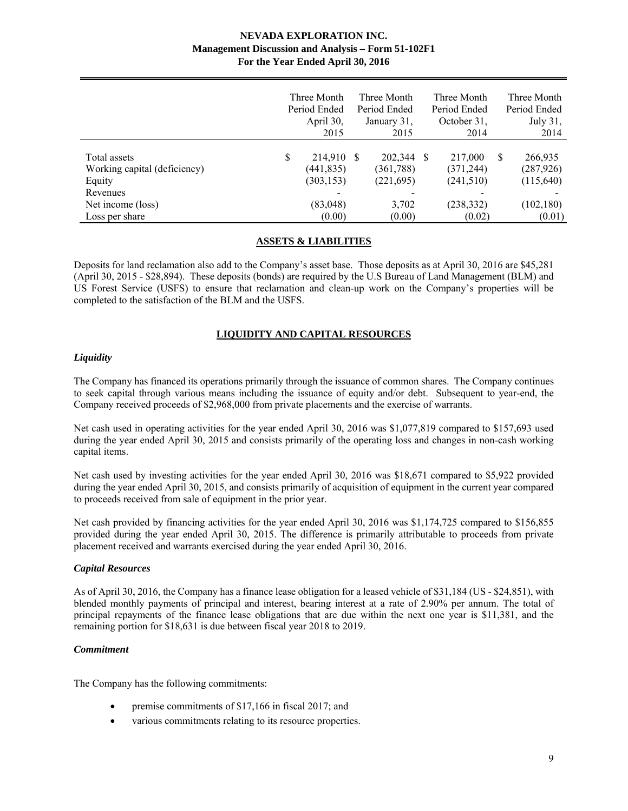|                                                                    |    | Three Month<br>Period Ended<br>April 30,<br>2015 |     | Three Month<br>Period Ended<br>January 31,<br>2015 | Three Month<br>Period Ended<br>October 31,<br>2014 | Three Month<br>Period Ended<br>July 31,<br>2014 |
|--------------------------------------------------------------------|----|--------------------------------------------------|-----|----------------------------------------------------|----------------------------------------------------|-------------------------------------------------|
| Total assets<br>Working capital (deficiency)<br>Equity<br>Revenues | S. | 214,910<br>(441, 835)<br>(303, 153)              | - S | 202,344 \$<br>(361, 788)<br>(221,695)              | 217,000<br>(371, 244)<br>(241,510)                 | S<br>266,935<br>(287, 926)<br>(115,640)         |
| Net income (loss)<br>Loss per share                                |    | (83, 048)<br>(0.00)                              |     | 3,702<br>(0.00)                                    | (238, 332)<br>(0.02)                               | (102, 180)<br>(0.01)                            |

## **ASSETS & LIABILITIES**

Deposits for land reclamation also add to the Company's asset base. Those deposits as at April 30, 2016 are \$45,281 (April 30, 2015 - \$28,894). These deposits (bonds) are required by the U.S Bureau of Land Management (BLM) and US Forest Service (USFS) to ensure that reclamation and clean-up work on the Company's properties will be completed to the satisfaction of the BLM and the USFS.

## **LIQUIDITY AND CAPITAL RESOURCES**

## *Liquidity*

The Company has financed its operations primarily through the issuance of common shares. The Company continues to seek capital through various means including the issuance of equity and/or debt. Subsequent to year-end, the Company received proceeds of \$2,968,000 from private placements and the exercise of warrants.

Net cash used in operating activities for the year ended April 30, 2016 was \$1,077,819 compared to \$157,693 used during the year ended April 30, 2015 and consists primarily of the operating loss and changes in non-cash working capital items.

Net cash used by investing activities for the year ended April 30, 2016 was \$18,671 compared to \$5,922 provided during the year ended April 30, 2015, and consists primarily of acquisition of equipment in the current year compared to proceeds received from sale of equipment in the prior year.

Net cash provided by financing activities for the year ended April 30, 2016 was \$1,174,725 compared to \$156,855 provided during the year ended April 30, 2015. The difference is primarily attributable to proceeds from private placement received and warrants exercised during the year ended April 30, 2016.

## *Capital Resources*

As of April 30, 2016, the Company has a finance lease obligation for a leased vehicle of \$31,184 (US - \$24,851), with blended monthly payments of principal and interest, bearing interest at a rate of 2.90% per annum. The total of principal repayments of the finance lease obligations that are due within the next one year is \$11,381, and the remaining portion for \$18,631 is due between fiscal year 2018 to 2019.

## *Commitment*

The Company has the following commitments:

- premise commitments of \$17,166 in fiscal 2017; and
- various commitments relating to its resource properties.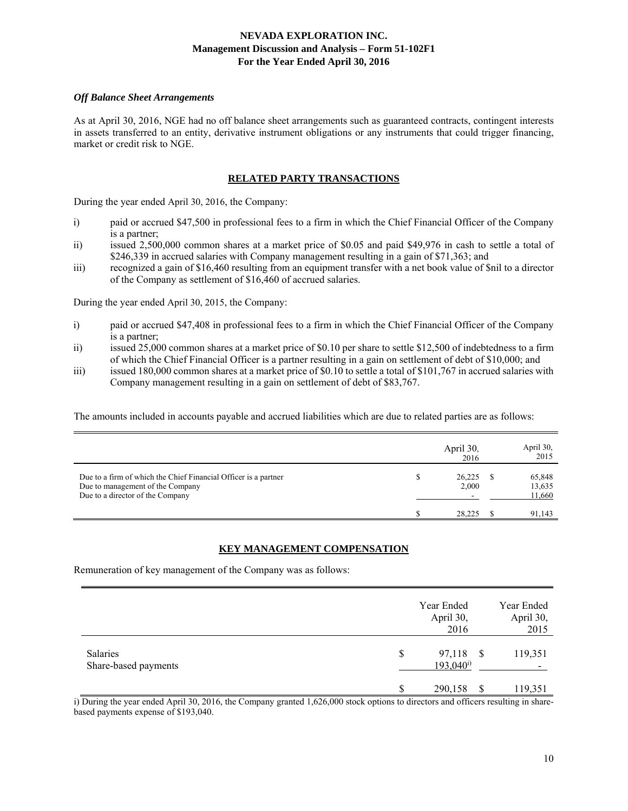## *Off Balance Sheet Arrangements*

As at April 30, 2016, NGE had no off balance sheet arrangements such as guaranteed contracts, contingent interests in assets transferred to an entity, derivative instrument obligations or any instruments that could trigger financing, market or credit risk to NGE.

## **RELATED PARTY TRANSACTIONS**

During the year ended April 30, 2016, the Company:

- i) paid or accrued \$47,500 in professional fees to a firm in which the Chief Financial Officer of the Company is a partner;
- ii) issued 2,500,000 common shares at a market price of \$0.05 and paid \$49,976 in cash to settle a total of \$246,339 in accrued salaries with Company management resulting in a gain of \$71,363; and
- iii) recognized a gain of \$16,460 resulting from an equipment transfer with a net book value of \$nil to a director of the Company as settlement of \$16,460 of accrued salaries.

During the year ended April 30, 2015, the Company:

- i) paid or accrued \$47,408 in professional fees to a firm in which the Chief Financial Officer of the Company is a partner;
- ii) issued 25,000 common shares at a market price of \$0.10 per share to settle \$12,500 of indebtedness to a firm of which the Chief Financial Officer is a partner resulting in a gain on settlement of debt of \$10,000; and
- iii) issued 180,000 common shares at a market price of \$0.10 to settle a total of \$101,767 in accrued salaries with Company management resulting in a gain on settlement of debt of \$83,767.

The amounts included in accounts payable and accrued liabilities which are due to related parties are as follows:

|                                                                                                                                         | April 30,<br>2016 | April 30,<br>2015          |
|-----------------------------------------------------------------------------------------------------------------------------------------|-------------------|----------------------------|
| Due to a firm of which the Chief Financial Officer is a partner<br>Due to management of the Company<br>Due to a director of the Company | 26,225<br>2,000   | 65,848<br>13,635<br>11,660 |
|                                                                                                                                         | 28.225            | 91,143                     |

## **KEY MANAGEMENT COMPENSATION**

Remuneration of key management of the Company was as follows:

|                                         | Year Ended<br>April 30,<br>2016  |    | Year Ended<br>April 30,<br>2015     |
|-----------------------------------------|----------------------------------|----|-------------------------------------|
| <b>Salaries</b><br>Share-based payments | \$<br>97,118 \$<br>$193,040^{i}$ |    | 119,351<br>$\overline{\phantom{a}}$ |
|                                         | \$<br>290,158                    | -S | 119,351                             |

i) During the year ended April 30, 2016, the Company granted 1,626,000 stock options to directors and officers resulting in sharebased payments expense of \$193,040.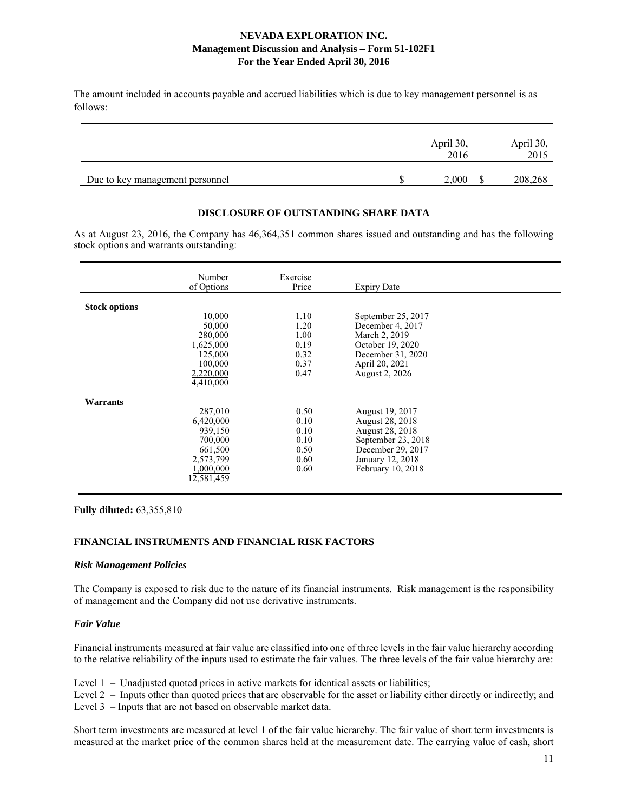The amount included in accounts payable and accrued liabilities which is due to key management personnel is as follows:

|                                 | April 30,<br>2016 | April 30,<br>2015 |
|---------------------------------|-------------------|-------------------|
| Due to key management personnel | 2,000             | 208,268           |

## **DISCLOSURE OF OUTSTANDING SHARE DATA**

As at August 23, 2016, the Company has 46,364,351 common shares issued and outstanding and has the following stock options and warrants outstanding:

|                      | Number<br>of Options | Exercise<br>Price |                    |  |
|----------------------|----------------------|-------------------|--------------------|--|
|                      |                      |                   | <b>Expiry Date</b> |  |
| <b>Stock options</b> |                      |                   |                    |  |
|                      | 10,000               | 1.10              | September 25, 2017 |  |
|                      | 50,000               | 1.20              | December 4, 2017   |  |
|                      | 280,000              | 1.00              | March 2, 2019      |  |
|                      | 1,625,000            | 0.19              | October 19, 2020   |  |
|                      | 125,000              | 0.32              | December 31, 2020  |  |
|                      | 100,000              | 0.37              | April 20, 2021     |  |
|                      | 2,220,000            | 0.47              | August 2, 2026     |  |
|                      | 4,410,000            |                   |                    |  |
| Warrants             |                      |                   |                    |  |
|                      | 287,010              | 0.50              | August 19, 2017    |  |
|                      | 6,420,000            | 0.10              | August 28, 2018    |  |
|                      | 939,150              | 0.10              | August 28, 2018    |  |
|                      | 700,000              | 0.10              | September 23, 2018 |  |
|                      | 661,500              | 0.50              | December 29, 2017  |  |
|                      | 2,573,799            | 0.60              | January 12, 2018   |  |
|                      | 1,000,000            | 0.60              | February 10, 2018  |  |
|                      | 12,581,459           |                   |                    |  |
|                      |                      |                   |                    |  |

#### **Fully diluted:** 63,355,810

#### **FINANCIAL INSTRUMENTS AND FINANCIAL RISK FACTORS**

#### *Risk Management Policies*

The Company is exposed to risk due to the nature of its financial instruments. Risk management is the responsibility of management and the Company did not use derivative instruments.

#### *Fair Value*

Financial instruments measured at fair value are classified into one of three levels in the fair value hierarchy according to the relative reliability of the inputs used to estimate the fair values. The three levels of the fair value hierarchy are:

Level 1 – Unadjusted quoted prices in active markets for identical assets or liabilities;

Level 2 – Inputs other than quoted prices that are observable for the asset or liability either directly or indirectly; and

Level 3 – Inputs that are not based on observable market data.

Short term investments are measured at level 1 of the fair value hierarchy. The fair value of short term investments is measured at the market price of the common shares held at the measurement date. The carrying value of cash, short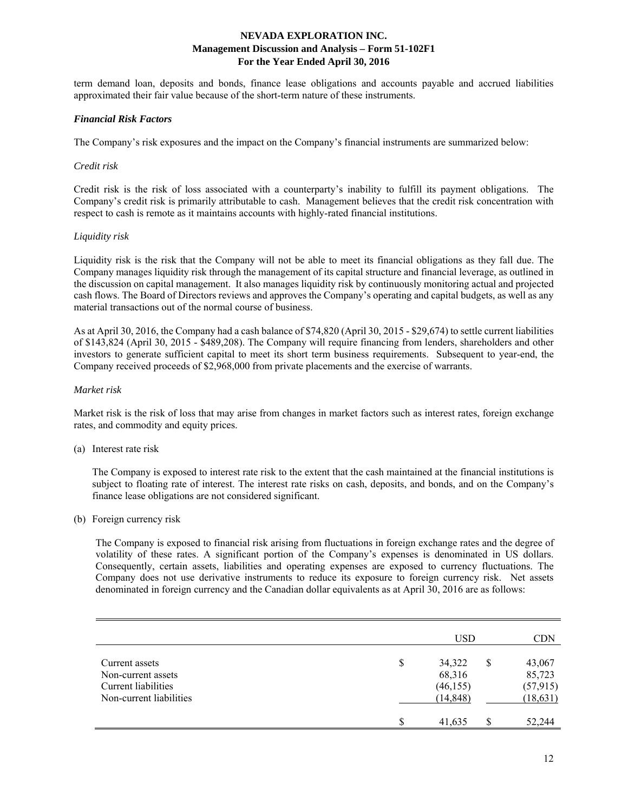term demand loan, deposits and bonds, finance lease obligations and accounts payable and accrued liabilities approximated their fair value because of the short-term nature of these instruments.

#### *Financial Risk Factors*

The Company's risk exposures and the impact on the Company's financial instruments are summarized below:

## *Credit risk*

Credit risk is the risk of loss associated with a counterparty's inability to fulfill its payment obligations. The Company's credit risk is primarily attributable to cash. Management believes that the credit risk concentration with respect to cash is remote as it maintains accounts with highly-rated financial institutions.

## *Liquidity risk*

Liquidity risk is the risk that the Company will not be able to meet its financial obligations as they fall due. The Company manages liquidity risk through the management of its capital structure and financial leverage, as outlined in the discussion on capital management. It also manages liquidity risk by continuously monitoring actual and projected cash flows. The Board of Directors reviews and approves the Company's operating and capital budgets, as well as any material transactions out of the normal course of business.

As at April 30, 2016, the Company had a cash balance of \$74,820 (April 30, 2015 - \$29,674) to settle current liabilities of \$143,824 (April 30, 2015 - \$489,208). The Company will require financing from lenders, shareholders and other investors to generate sufficient capital to meet its short term business requirements. Subsequent to year-end, the Company received proceeds of \$2,968,000 from private placements and the exercise of warrants.

## *Market risk*

Market risk is the risk of loss that may arise from changes in market factors such as interest rates, foreign exchange rates, and commodity and equity prices.

#### (a) Interest rate risk

 The Company is exposed to interest rate risk to the extent that the cash maintained at the financial institutions is subject to floating rate of interest. The interest rate risks on cash, deposits, and bonds, and on the Company's finance lease obligations are not considered significant.

(b) Foreign currency risk

The Company is exposed to financial risk arising from fluctuations in foreign exchange rates and the degree of volatility of these rates. A significant portion of the Company's expenses is denominated in US dollars. Consequently, certain assets, liabilities and operating expenses are exposed to currency fluctuations. The Company does not use derivative instruments to reduce its exposure to foreign currency risk. Net assets denominated in foreign currency and the Canadian dollar equivalents as at April 30, 2016 are as follows:

|                                                                                        |   | <b>USD</b>                                 |   |                                            |  |  |  |
|----------------------------------------------------------------------------------------|---|--------------------------------------------|---|--------------------------------------------|--|--|--|
| Current assets<br>Non-current assets<br>Current liabilities<br>Non-current liabilities | S | 34,322<br>68,316<br>(46, 155)<br>(14, 848) | S | 43,067<br>85,723<br>(57, 915)<br>(18, 631) |  |  |  |
|                                                                                        | S | 41,635                                     | S | 52,244                                     |  |  |  |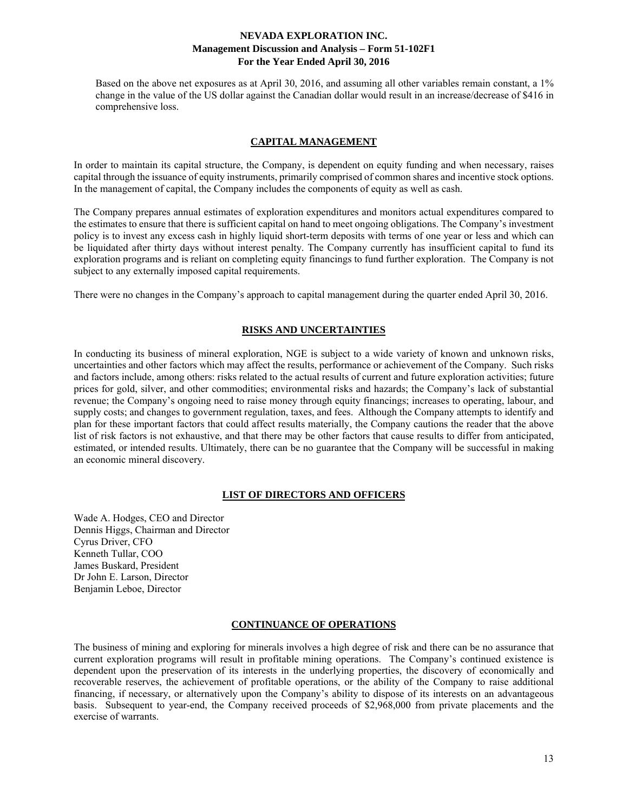Based on the above net exposures as at April 30, 2016, and assuming all other variables remain constant, a 1% change in the value of the US dollar against the Canadian dollar would result in an increase/decrease of \$416 in comprehensive loss.

#### **CAPITAL MANAGEMENT**

In order to maintain its capital structure, the Company, is dependent on equity funding and when necessary, raises capital through the issuance of equity instruments, primarily comprised of common shares and incentive stock options. In the management of capital, the Company includes the components of equity as well as cash.

The Company prepares annual estimates of exploration expenditures and monitors actual expenditures compared to the estimates to ensure that there is sufficient capital on hand to meet ongoing obligations. The Company's investment policy is to invest any excess cash in highly liquid short-term deposits with terms of one year or less and which can be liquidated after thirty days without interest penalty. The Company currently has insufficient capital to fund its exploration programs and is reliant on completing equity financings to fund further exploration. The Company is not subject to any externally imposed capital requirements.

There were no changes in the Company's approach to capital management during the quarter ended April 30, 2016.

#### **RISKS AND UNCERTAINTIES**

In conducting its business of mineral exploration, NGE is subject to a wide variety of known and unknown risks, uncertainties and other factors which may affect the results, performance or achievement of the Company. Such risks and factors include, among others: risks related to the actual results of current and future exploration activities; future prices for gold, silver, and other commodities; environmental risks and hazards; the Company's lack of substantial revenue; the Company's ongoing need to raise money through equity financings; increases to operating, labour, and supply costs; and changes to government regulation, taxes, and fees. Although the Company attempts to identify and plan for these important factors that could affect results materially, the Company cautions the reader that the above list of risk factors is not exhaustive, and that there may be other factors that cause results to differ from anticipated, estimated, or intended results. Ultimately, there can be no guarantee that the Company will be successful in making an economic mineral discovery.

#### **LIST OF DIRECTORS AND OFFICERS**

Wade A. Hodges, CEO and Director Dennis Higgs, Chairman and Director Cyrus Driver, CFO Kenneth Tullar, COO James Buskard, President Dr John E. Larson, Director Benjamin Leboe, Director

## **CONTINUANCE OF OPERATIONS**

The business of mining and exploring for minerals involves a high degree of risk and there can be no assurance that current exploration programs will result in profitable mining operations. The Company's continued existence is dependent upon the preservation of its interests in the underlying properties, the discovery of economically and recoverable reserves, the achievement of profitable operations, or the ability of the Company to raise additional financing, if necessary, or alternatively upon the Company's ability to dispose of its interests on an advantageous basis. Subsequent to year-end, the Company received proceeds of \$2,968,000 from private placements and the exercise of warrants.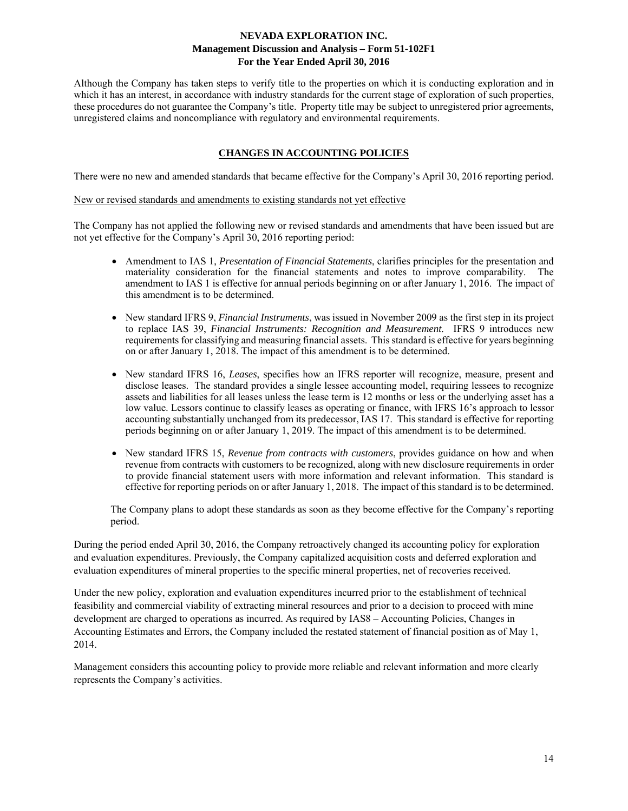Although the Company has taken steps to verify title to the properties on which it is conducting exploration and in which it has an interest, in accordance with industry standards for the current stage of exploration of such properties, these procedures do not guarantee the Company's title. Property title may be subject to unregistered prior agreements, unregistered claims and noncompliance with regulatory and environmental requirements.

## **CHANGES IN ACCOUNTING POLICIES**

There were no new and amended standards that became effective for the Company's April 30, 2016 reporting period.

#### New or revised standards and amendments to existing standards not yet effective

The Company has not applied the following new or revised standards and amendments that have been issued but are not yet effective for the Company's April 30, 2016 reporting period:

- Amendment to IAS 1, *Presentation of Financial Statements*, clarifies principles for the presentation and materiality consideration for the financial statements and notes to improve comparability. The amendment to IAS 1 is effective for annual periods beginning on or after January 1, 2016. The impact of this amendment is to be determined.
- New standard IFRS 9, *Financial Instruments*, was issued in November 2009 as the first step in its project to replace IAS 39, *Financial Instruments: Recognition and Measurement.* IFRS 9 introduces new requirements for classifying and measuring financial assets. This standard is effective for years beginning on or after January 1, 2018. The impact of this amendment is to be determined.
- New standard IFRS 16, *Leases*, specifies how an IFRS reporter will recognize, measure, present and disclose leases. The standard provides a single lessee accounting model, requiring lessees to recognize assets and liabilities for all leases unless the lease term is 12 months or less or the underlying asset has a low value. Lessors continue to classify leases as operating or finance, with IFRS 16's approach to lessor accounting substantially unchanged from its predecessor, IAS 17. This standard is effective for reporting periods beginning on or after January 1, 2019. The impact of this amendment is to be determined.
- New standard IFRS 15, *Revenue from contracts with customers*, provides guidance on how and when revenue from contracts with customers to be recognized, along with new disclosure requirements in order to provide financial statement users with more information and relevant information. This standard is effective for reporting periods on or after January 1, 2018. The impact of this standard is to be determined.

The Company plans to adopt these standards as soon as they become effective for the Company's reporting period.

During the period ended April 30, 2016, the Company retroactively changed its accounting policy for exploration and evaluation expenditures. Previously, the Company capitalized acquisition costs and deferred exploration and evaluation expenditures of mineral properties to the specific mineral properties, net of recoveries received.

Under the new policy, exploration and evaluation expenditures incurred prior to the establishment of technical feasibility and commercial viability of extracting mineral resources and prior to a decision to proceed with mine development are charged to operations as incurred. As required by IAS8 – Accounting Policies, Changes in Accounting Estimates and Errors, the Company included the restated statement of financial position as of May 1, 2014.

Management considers this accounting policy to provide more reliable and relevant information and more clearly represents the Company's activities.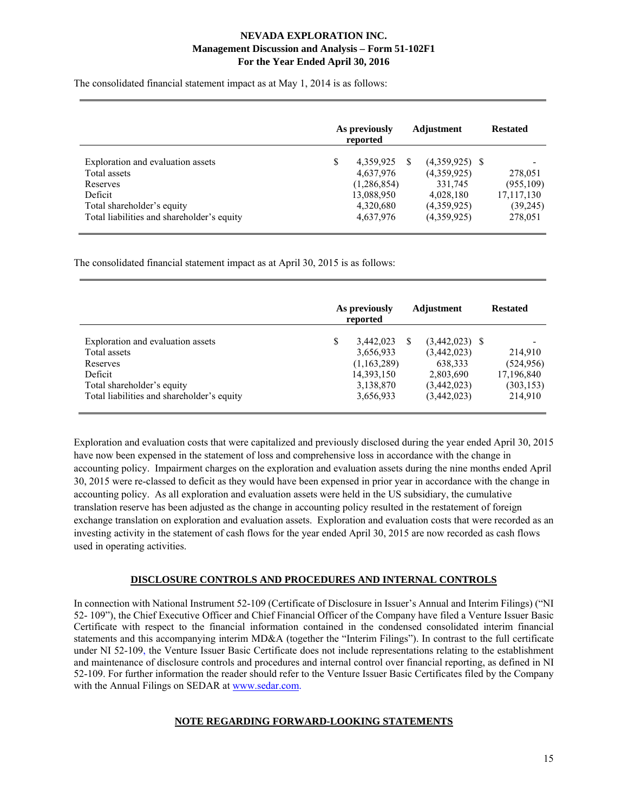The consolidated financial statement impact as at May 1, 2014 is as follows:

|                                            |   | As previously<br>reported | <b>Adjustment</b> | <b>Restated</b> |
|--------------------------------------------|---|---------------------------|-------------------|-----------------|
| Exploration and evaluation assets          | S | 4.359.925                 | $(4,359,925)$ \$  |                 |
| Total assets                               |   | 4,637,976                 | (4,359,925)       | 278,051         |
| Reserves                                   |   | (1,286,854)               | 331,745           | (955, 109)      |
| Deficit                                    |   | 13,088,950                | 4,028,180         | 17, 117, 130    |
| Total shareholder's equity                 |   | 4,320,680                 | (4,359,925)       | (39, 245)       |
| Total liabilities and shareholder's equity |   | 4,637,976                 | (4,359,925)       | 278,051         |

The consolidated financial statement impact as at April 30, 2015 is as follows:

|                                                                                                                                                      | As previously<br>reported |                                                                               | <b>Adjustment</b>                                                                     |  | <b>Restated</b>                                              |  |
|------------------------------------------------------------------------------------------------------------------------------------------------------|---------------------------|-------------------------------------------------------------------------------|---------------------------------------------------------------------------------------|--|--------------------------------------------------------------|--|
| Exploration and evaluation assets<br>Total assets<br>Reserves<br>Deficit<br>Total shareholder's equity<br>Total liabilities and shareholder's equity |                           | 3,442,023<br>3,656,933<br>(1,163,289)<br>14,393,150<br>3,138,870<br>3,656,933 | $(3,442,023)$ \$<br>(3,442,023)<br>638,333<br>2,803,690<br>(3,442,023)<br>(3,442,023) |  | 214,910<br>(524, 956)<br>17,196,840<br>(303, 153)<br>214,910 |  |

Exploration and evaluation costs that were capitalized and previously disclosed during the year ended April 30, 2015 have now been expensed in the statement of loss and comprehensive loss in accordance with the change in accounting policy. Impairment charges on the exploration and evaluation assets during the nine months ended April 30, 2015 were re-classed to deficit as they would have been expensed in prior year in accordance with the change in accounting policy. As all exploration and evaluation assets were held in the US subsidiary, the cumulative translation reserve has been adjusted as the change in accounting policy resulted in the restatement of foreign exchange translation on exploration and evaluation assets. Exploration and evaluation costs that were recorded as an investing activity in the statement of cash flows for the year ended April 30, 2015 are now recorded as cash flows used in operating activities.

## **DISCLOSURE CONTROLS AND PROCEDURES AND INTERNAL CONTROLS**

In connection with National Instrument 52-109 (Certificate of Disclosure in Issuer's Annual and Interim Filings) ("NI 52- 109"), the Chief Executive Officer and Chief Financial Officer of the Company have filed a Venture Issuer Basic Certificate with respect to the financial information contained in the condensed consolidated interim financial statements and this accompanying interim MD&A (together the "Interim Filings"). In contrast to the full certificate under NI 52-109, the Venture Issuer Basic Certificate does not include representations relating to the establishment and maintenance of disclosure controls and procedures and internal control over financial reporting, as defined in NI 52-109. For further information the reader should refer to the Venture Issuer Basic Certificates filed by the Company with the Annual Filings on SEDAR at www.sedar.com.

## **NOTE REGARDING FORWARD-LOOKING STATEMENTS**